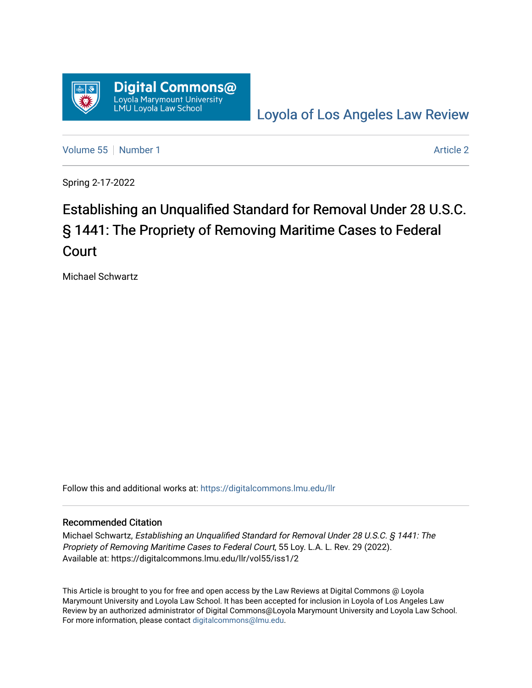

[Loyola of Los Angeles Law Review](https://digitalcommons.lmu.edu/llr) 

[Volume 55](https://digitalcommons.lmu.edu/llr/vol55) [Number 1](https://digitalcommons.lmu.edu/llr/vol55/iss1) [Article 2](https://digitalcommons.lmu.edu/llr/vol55/iss1/2) Article 2 Article 2 Article 2 Article 2 Article 2 Article 2

Spring 2-17-2022

# Establishing an Unqualified Standard for Removal Under 28 U.S.C. § 1441: The Propriety of Removing Maritime Cases to Federal Court

Michael Schwartz

Follow this and additional works at: [https://digitalcommons.lmu.edu/llr](https://digitalcommons.lmu.edu/llr?utm_source=digitalcommons.lmu.edu%2Fllr%2Fvol55%2Fiss1%2F2&utm_medium=PDF&utm_campaign=PDFCoverPages) 

# Recommended Citation

Michael Schwartz, Establishing an Unqualified Standard for Removal Under 28 U.S.C. § 1441: The Propriety of Removing Maritime Cases to Federal Court, 55 Loy. L.A. L. Rev. 29 (2022). Available at: https://digitalcommons.lmu.edu/llr/vol55/iss1/2

This Article is brought to you for free and open access by the Law Reviews at Digital Commons @ Loyola Marymount University and Loyola Law School. It has been accepted for inclusion in Loyola of Los Angeles Law Review by an authorized administrator of Digital Commons@Loyola Marymount University and Loyola Law School. For more information, please contact [digitalcommons@lmu.edu.](mailto:digitalcommons@lmu.edu)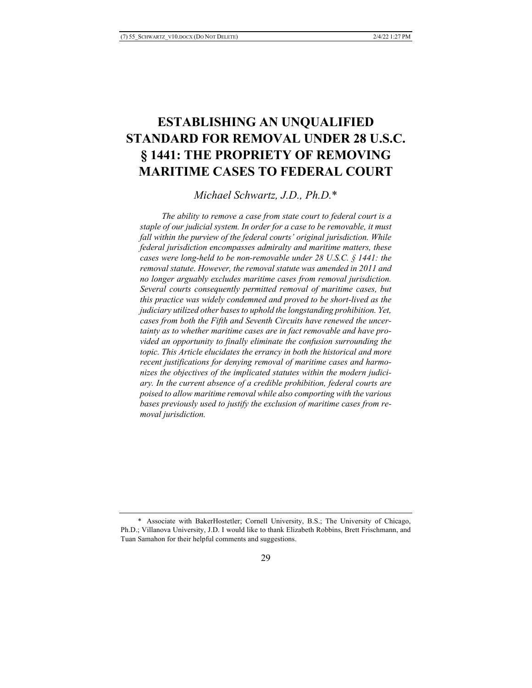# **ESTABLISHING AN UNQUALIFIED STANDARD FOR REMOVAL UNDER 28 U.S.C. § 1441: THE PROPRIETY OF REMOVING MARITIME CASES TO FEDERAL COURT**

*Michael Schwartz, J.D., Ph.D.*\*

 *The ability to remove a case from state court to federal court is a staple of our judicial system. In order for a case to be removable, it must fall within the purview of the federal courts' original jurisdiction. While federal jurisdiction encompasses admiralty and maritime matters, these cases were long-held to be non-removable under 28 U.S.C. § 1441: the removal statute. However, the removal statute was amended in 2011 and no longer arguably excludes maritime cases from removal jurisdiction. Several courts consequently permitted removal of maritime cases, but this practice was widely condemned and proved to be short-lived as the judiciary utilized other bases to uphold the longstanding prohibition. Yet, cases from both the Fifth and Seventh Circuits have renewed the uncertainty as to whether maritime cases are in fact removable and have provided an opportunity to finally eliminate the confusion surrounding the topic. This Article elucidates the errancy in both the historical and more recent justifications for denying removal of maritime cases and harmonizes the objectives of the implicated statutes within the modern judiciary. In the current absence of a credible prohibition, federal courts are poised to allow maritime removal while also comporting with the various bases previously used to justify the exclusion of maritime cases from removal jurisdiction.*

<sup>\*</sup> Associate with BakerHostetler; Cornell University, B.S.; The University of Chicago, Ph.D.; Villanova University, J.D. I would like to thank Elizabeth Robbins, Brett Frischmann, and Tuan Samahon for their helpful comments and suggestions.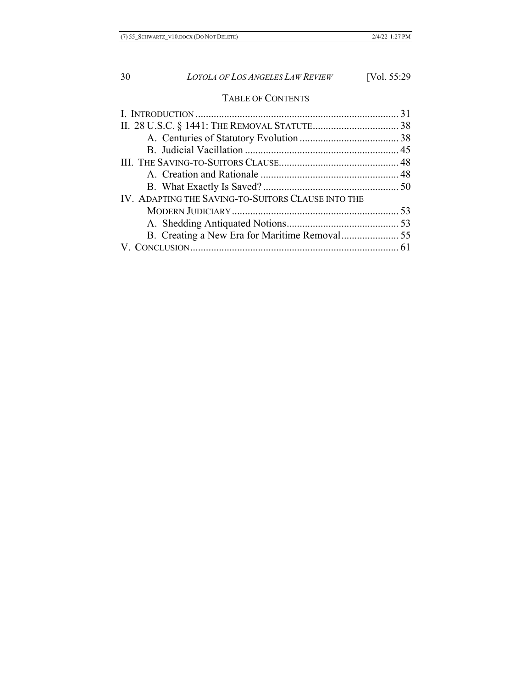# TABLE OF CONTENTS

| IV. ADAPTING THE SAVING-TO-SUITORS CLAUSE INTO THE |  |
|----------------------------------------------------|--|
|                                                    |  |
|                                                    |  |
|                                                    |  |
|                                                    |  |
|                                                    |  |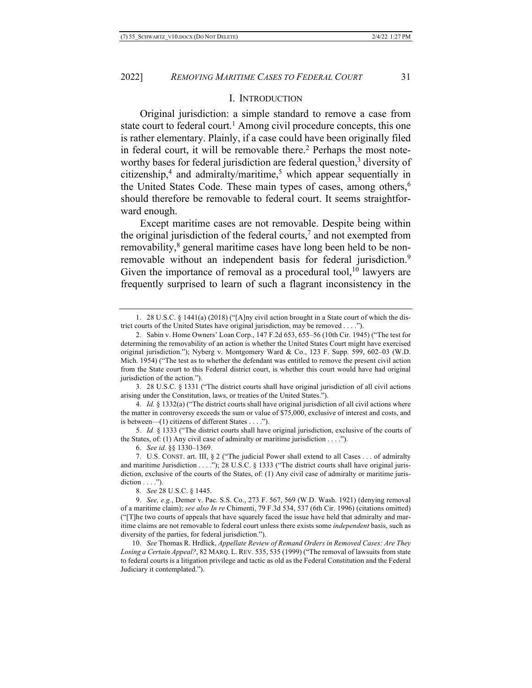#### I. INTRODUCTION

Original jurisdiction: a simple standard to remove a case from state court to federal court.<sup>1</sup> Among civil procedure concepts, this one is rather elementary. Plainly, if a case could have been originally filed in federal court, it will be removable there.<sup>2</sup> Perhaps the most noteworthy bases for federal jurisdiction are federal question,<sup>3</sup> diversity of citizenship,4 and admiralty/maritime, <sup>5</sup> which appear sequentially in the United States Code. These main types of cases, among others,<sup>6</sup> should therefore be removable to federal court. It seems straightforward enough.

Except maritime cases are not removable. Despite being within the original jurisdiction of the federal courts,<sup>7</sup> and not exempted from removability,<sup>8</sup> general maritime cases have long been held to be nonremovable without an independent basis for federal jurisdiction.<sup>9</sup> Given the importance of removal as a procedural tool,<sup>10</sup> lawyers are frequently surprised to learn of such a flagrant inconsistency in the

3. 28 U.S.C. § 1331 ("The district courts shall have original jurisdiction of all civil actions arising under the Constitution, laws, or treaties of the United States.").

4. *Id.* § 1332(a) ("The district courts shall have original jurisdiction of all civil actions where the matter in controversy exceeds the sum or value of \$75,000, exclusive of interest and costs, and is between—(1) citizens of different States . . . .").

5. *Id.* § 1333 ("The district courts shall have original jurisdiction, exclusive of the courts of the States, of: (1) Any civil case of admiralty or maritime jurisdiction  $\dots$ .").

6. *See id.* §§ 1330–1369.

7. U.S. CONST. art. III, § 2 ("The judicial Power shall extend to all Cases . . . of admiralty and maritime Jurisdiction . . . ."); 28 U.S.C. § 1333 ("The district courts shall have original jurisdiction, exclusive of the courts of the States, of: (1) Any civil case of admiralty or maritime juris $diction \ldots$ .").

8. *See* 28 U.S.C. § 1445.

9. *See, e.g.*, Demer v. Pac. S.S. Co., 273 F. 567, 569 (W.D. Wash. 1921) (denying removal of a maritime claim); *see also In re* Chimenti, 79 F.3d 534, 537 (6th Cir. 1996) (citations omitted) ("[T]he two courts of appeals that have squarely faced the issue have held that admiralty and maritime claims are not removable to federal court unless there exists some *independent* basis, such as diversity of the parties, for federal jurisdiction.").

10. *See* Thomas R. Hrdlick, *Appellate Review of Remand Orders in Removed Cases: Are They Losing a Certain Appeal?*, 82 MARQ. L. REV. 535, 535 (1999) ("The removal of lawsuits from state to federal courts is a litigation privilege and tactic as old as the Federal Constitution and the Federal Judiciary it contemplated.").

<sup>1.</sup> 28 U.S.C. § 1441(a) (2018) ("[A]ny civil action brought in a State court of which the district courts of the United States have original jurisdiction, may be removed . . . .").

<sup>2.</sup> Sabin v. Home Owners' Loan Corp., 147 F.2d 653, 655–56 (10th Cir. 1945) ("The test for determining the removability of an action is whether the United States Court might have exercised original jurisdiction."); Nyberg v. Montgomery Ward & Co., 123 F. Supp. 599, 602–03 (W.D. Mich. 1954) ("The test as to whether the defendant was entitled to remove the present civil action from the State court to this Federal district court, is whether this court would have had original jurisdiction of the action.").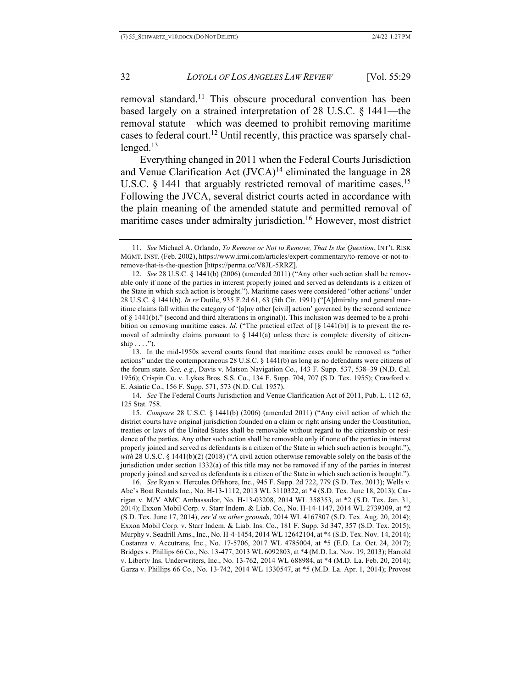removal standard.<sup>11</sup> This obscure procedural convention has been based largely on a strained interpretation of 28 U.S.C. § 1441—the removal statute—which was deemed to prohibit removing maritime cases to federal court.12 Until recently, this practice was sparsely challenged. $13$ 

Everything changed in 2011 when the Federal Courts Jurisdiction and Venue Clarification Act (JVCA)<sup>14</sup> eliminated the language in 28 U.S.C.  $\S$  1441 that arguably restricted removal of maritime cases.<sup>15</sup> Following the JVCA, several district courts acted in accordance with the plain meaning of the amended statute and permitted removal of maritime cases under admiralty jurisdiction.<sup>16</sup> However, most district

13. In the mid-1950s several courts found that maritime cases could be removed as "other actions" under the contemporaneous 28 U.S.C. § 1441(b) as long as no defendants were citizens of the forum state. *See, e.g.*, Davis v. Matson Navigation Co., 143 F. Supp. 537, 538–39 (N.D. Cal. 1956); Crispin Co. v. Lykes Bros. S.S. Co., 134 F. Supp. 704, 707 (S.D. Tex. 1955); Crawford v. E. Asiatic Co., 156 F. Supp. 571, 573 (N.D. Cal. 1957).

14. *See* The Federal Courts Jurisdiction and Venue Clarification Act of 2011, Pub. L. 112-63, 125 Stat. 758.

15. *Compare* 28 U.S.C. § 1441(b) (2006) (amended 2011) ("Any civil action of which the district courts have original jurisdiction founded on a claim or right arising under the Constitution, treaties or laws of the United States shall be removable without regard to the citizenship or residence of the parties. Any other such action shall be removable only if none of the parties in interest properly joined and served as defendants is a citizen of the State in which such action is brought."), *with* 28 U.S.C. § 1441(b)(2) (2018) ("A civil action otherwise removable solely on the basis of the jurisdiction under section 1332(a) of this title may not be removed if any of the parties in interest properly joined and served as defendants is a citizen of the State in which such action is brought.").

16. *See* Ryan v. Hercules Offshore, Inc., 945 F. Supp. 2d 722, 779 (S.D. Tex. 2013); Wells v. Abe's Boat Rentals Inc., No. H-13-1112, 2013 WL 3110322, at \*4 (S.D. Tex. June 18, 2013); Carrigan v. M/V AMC Ambassador, No. H-13-03208, 2014 WL 358353, at \*2 (S.D. Tex. Jan. 31, 2014); Exxon Mobil Corp. v. Starr Indem. & Liab. Co., No. H-14-1147, 2014 WL 2739309, at \*2 (S.D. Tex. June 17, 2014), *rev'd on other grounds*, 2014 WL 4167807 (S.D. Tex. Aug. 20, 2014); Exxon Mobil Corp. v. Starr Indem. & Liab. Ins. Co., 181 F. Supp. 3d 347, 357 (S.D. Tex. 2015); Murphy v. Seadrill Ams., Inc., No. H-4-1454, 2014 WL 12642104, at \*4 (S.D. Tex. Nov. 14, 2014); Costanza v. Accutrans, Inc., No. 17-5706, 2017 WL 4785004, at \*5 (E.D. La. Oct. 24, 2017); Bridges v. Phillips 66 Co., No. 13-477, 2013 WL 6092803, at \*4 (M.D. La. Nov. 19, 2013); Harrold v. Liberty Ins. Underwriters, Inc., No. 13-762, 2014 WL 688984, at \*4 (M.D. La. Feb. 20, 2014); Garza v. Phillips 66 Co., No. 13-742, 2014 WL 1330547, at \*5 (M.D. La. Apr. 1, 2014); Provost

<sup>11.</sup> *See* Michael A. Orlando, *To Remove or Not to Remove, That Is the Question*, INT'L RISK MGMT. INST. (Feb. 2002), https://www.irmi.com/articles/expert-commentary/to-remove-or-not-toremove-that-is-the-question [https://perma.cc/V8JL-5RRZ].

<sup>12.</sup> *See* 28 U.S.C. § 1441(b) (2006) (amended 2011) ("Any other such action shall be removable only if none of the parties in interest properly joined and served as defendants is a citizen of the State in which such action is brought."). Maritime cases were considered "other actions" under 28 U.S.C. § 1441(b). *In re* Dutile, 935 F.2d 61, 63 (5th Cir. 1991) ("[A]dmiralty and general maritime claims fall within the category of '[a]ny other [civil] action' governed by the second sentence of § 1441(b)." (second and third alterations in original)). This inclusion was deemed to be a prohibition on removing maritime cases. *Id.* ("The practical effect of [§ 1441(b)] is to prevent the removal of admiralty claims pursuant to  $\S$  1441(a) unless there is complete diversity of citizen $ship \ldots$ ").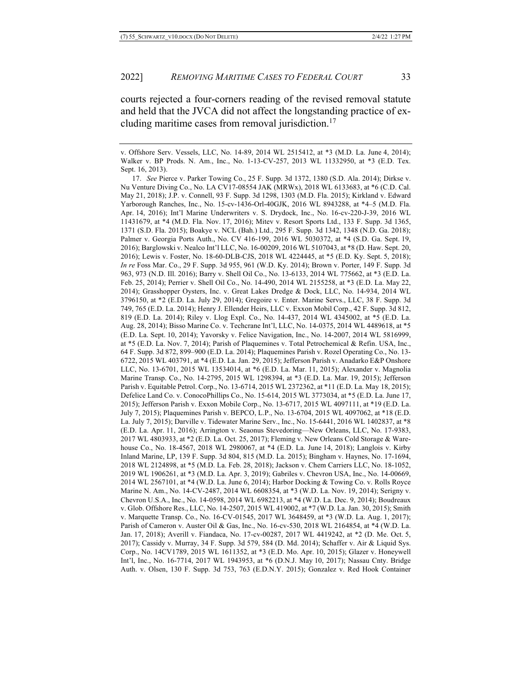courts rejected a four-corners reading of the revised removal statute and held that the JVCA did not affect the longstanding practice of excluding maritime cases from removal jurisdiction.<sup>17</sup>

v. Offshore Serv. Vessels, LLC, No. 14-89, 2014 WL 2515412, at \*3 (M.D. La. June 4, 2014); Walker v. BP Prods. N. Am., Inc., No. 1-13-CV-257, 2013 WL 11332950, at \*3 (E.D. Tex. Sept. 16, 2013).

<sup>17.</sup> *See* Pierce v. Parker Towing Co., 25 F. Supp. 3d 1372, 1380 (S.D. Ala. 2014); Dirkse v. Nu Venture Diving Co., No. LA CV17-08554 JAK (MRWx), 2018 WL 6133683, at \*6 (C.D. Cal. May 21, 2018); J.P. v. Connell, 93 F. Supp. 3d 1298, 1303 (M.D. Fla. 2015); Kirkland v. Edward Yarborough Ranches, Inc., No. 15-cv-1436-Orl-40GJK, 2016 WL 8943288, at \*4–5 (M.D. Fla. Apr. 14, 2016); Int'l Marine Underwriters v. S. Drydock, Inc., No. 16-cv-220-J-39, 2016 WL 11431679, at \*4 (M.D. Fla. Nov. 17, 2016); Mitev v. Resort Sports Ltd., 133 F. Supp. 3d 1365, 1371 (S.D. Fla. 2015); Boakye v. NCL (Bah.) Ltd., 295 F. Supp. 3d 1342, 1348 (N.D. Ga. 2018); Palmer v. Georgia Ports Auth., No. CV 416-199, 2016 WL 5030372, at \*4 (S.D. Ga. Sept. 19, 2016); Barglowski v. Nealco Int'l LLC, No. 16-00209, 2016 WL 5107043, at \*8 (D. Haw. Sept. 20, 2016); Lewis v. Foster, No. 18-60-DLB-CJS, 2018 WL 4224445, at \*5 (E.D. Ky. Sept. 5, 2018); *In re* Foss Mar. Co., 29 F. Supp. 3d 955, 961 (W.D. Ky. 2014); Brown v. Porter, 149 F. Supp. 3d 963, 973 (N.D. Ill. 2016); Barry v. Shell Oil Co., No. 13-6133, 2014 WL 775662, at \*3 (E.D. La. Feb. 25, 2014); Perrier v. Shell Oil Co., No. 14-490, 2014 WL 2155258, at \*3 (E.D. La. May 22, 2014); Grasshopper Oysters, Inc. v. Great Lakes Dredge & Dock, LLC, No. 14-934, 2014 WL 3796150, at \*2 (E.D. La. July 29, 2014); Gregoire v. Enter. Marine Servs., LLC, 38 F. Supp. 3d 749, 765 (E.D. La. 2014); Henry J. Ellender Heirs, LLC v. Exxon Mobil Corp., 42 F. Supp. 3d 812, 819 (E.D. La. 2014); Riley v. Llog Expl. Co., No. 14-437, 2014 WL 4345002, at \*5 (E.D. La. Aug. 28, 2014); Bisso Marine Co. v. Techcrane Int'l, LLC, No. 14-0375, 2014 WL 4489618, at \*5 (E.D. La. Sept. 10, 2014); Yavorsky v. Felice Navigation, Inc., No. 14-2007, 2014 WL 5816999, at \*5 (E.D. La. Nov. 7, 2014); Parish of Plaquemines v. Total Petrochemical & Refin. USA, Inc., 64 F. Supp. 3d 872, 899–900 (E.D. La. 2014); Plaquemines Parish v. Rozel Operating Co., No. 13- 6722, 2015 WL 403791, at \*4 (E.D. La. Jan. 29, 2015); Jefferson Parish v. Anadarko E&P Onshore LLC, No. 13-6701, 2015 WL 13534014, at \*6 (E.D. La. Mar. 11, 2015); Alexander v. Magnolia Marine Transp. Co., No. 14-2795, 2015 WL 1298394, at \*3 (E.D. La. Mar. 19, 2015); Jefferson Parish v. Equitable Petrol. Corp., No. 13-6714, 2015 WL 2372362, at \*11 (E.D. La. May 18, 2015); Defelice Land Co. v. ConocoPhillips Co., No. 15-614, 2015 WL 3773034, at \*5 (E.D. La. June 17, 2015); Jefferson Parish v. Exxon Mobile Corp., No. 13-6717, 2015 WL 4097111, at \*19 (E.D. La. July 7, 2015); Plaquemines Parish v. BEPCO, L.P., No. 13-6704, 2015 WL 4097062, at \*18 (E.D. La. July 7, 2015); Darville v. Tidewater Marine Serv., Inc., No. 15-6441, 2016 WL 1402837, at \*8 (E.D. La. Apr. 11, 2016); Arrington v. Seaonus Stevedoring—New Orleans, LLC, No. 17-9383, 2017 WL 4803933, at \*2 (E.D. La. Oct. 25, 2017); Fleming v. New Orleans Cold Storage & Warehouse Co., No. 18-4567, 2018 WL 2980067, at \*4 (E.D. La. June 14, 2018); Langlois v. Kirby Inland Marine, LP, 139 F. Supp. 3d 804, 815 (M.D. La. 2015); Bingham v. Haynes, No. 17-1694, 2018 WL 2124898, at \*5 (M.D. La. Feb. 28, 2018); Jackson v. Chem Carriers LLC, No. 18-1052, 2019 WL 1906261, at \*3 (M.D. La. Apr. 3, 2019); Gabriles v. Chevron USA, Inc., No. 14-00669, 2014 WL 2567101, at \*4 (W.D. La. June 6, 2014); Harbor Docking & Towing Co. v. Rolls Royce Marine N. Am., No. 14-CV-2487, 2014 WL 6608354, at \*3 (W.D. La. Nov. 19, 2014); Serigny v. Chevron U.S.A., Inc., No. 14-0598, 2014 WL 6982213, at \*4 (W.D. La. Dec. 9, 2014); Boudreaux v. Glob. Offshore Res., LLC, No. 14-2507, 2015 WL 419002, at \*7 (W.D. La. Jan. 30, 2015); Smith v. Marquette Transp. Co., No. 16-CV-01545, 2017 WL 3648459, at \*3 (W.D. La. Aug. 1, 2017); Parish of Cameron v. Auster Oil & Gas, Inc., No. 16-cv-530, 2018 WL 2164854, at \*4 (W.D. La. Jan. 17, 2018); Averill v. Fiandaca, No. 17-cv-00287, 2017 WL 4419242, at \*2 (D. Me. Oct. 5, 2017); Cassidy v. Murray, 34 F. Supp. 3d 579, 584 (D. Md. 2014); Schaffer v. Air & Liquid Sys. Corp., No. 14CV1789, 2015 WL 1611352, at \*3 (E.D. Mo. Apr. 10, 2015); Glazer v. Honeywell Int'l, Inc., No. 16-7714, 2017 WL 1943953, at \*6 (D.N.J. May 10, 2017); Nassau Cnty. Bridge Auth. v. Olsen, 130 F. Supp. 3d 753, 763 (E.D.N.Y. 2015); Gonzalez v. Red Hook Container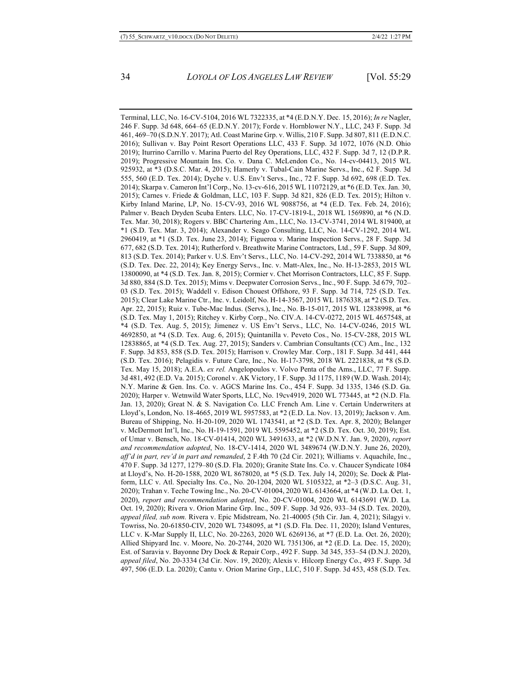Terminal, LLC, No. 16-CV-5104, 2016 WL 7322335, at \*4 (E.D.N.Y. Dec. 15, 2016); *In re* Nagler, 246 F. Supp. 3d 648, 664–65 (E.D.N.Y. 2017); Forde v. Hornblower N.Y., LLC, 243 F. Supp. 3d 461, 469–70 (S.D.N.Y. 2017); Atl. Coast Marine Grp. v. Willis, 210 F. Supp. 3d 807, 811 (E.D.N.C. 2016); Sullivan v. Bay Point Resort Operations LLC, 433 F. Supp. 3d 1072, 1076 (N.D. Ohio 2019); Iturrino Carrillo v. Marina Puerto del Rey Operations, LLC, 432 F. Supp. 3d 7, 12 (D.P.R. 2019); Progressive Mountain Ins. Co. v. Dana C. McLendon Co., No. 14-cv-04413, 2015 WL 925932, at \*3 (D.S.C. Mar. 4, 2015); Hamerly v. Tubal-Cain Marine Servs., Inc., 62 F. Supp. 3d 555, 560 (E.D. Tex. 2014); Dyche v. U.S. Env't Servs., Inc., 72 F. Supp. 3d 692, 698 (E.D. Tex. 2014); Skarpa v. Cameron Int'l Corp., No. 13-cv-616, 2015 WL 11072129, at \*6 (E.D. Tex. Jan. 30, 2015); Carnes v. Friede & Goldman, LLC, 103 F. Supp. 3d 821, 826 (E.D. Tex. 2015); Hilton v. Kirby Inland Marine, LP, No. 15-CV-93, 2016 WL 9088756, at \*4 (E.D. Tex. Feb. 24, 2016); Palmer v. Beach Dryden Scuba Enters. LLC, No. 17-CV-1819-L, 2018 WL 1569890, at \*6 (N.D. Tex. Mar. 30, 2018); Rogers v. BBC Chartering Am., LLC, No. 13-CV-3741, 2014 WL 819400, at \*1 (S.D. Tex. Mar. 3, 2014); Alexander v. Seago Consulting, LLC, No. 14-CV-1292, 2014 WL 2960419, at \*1 (S.D. Tex. June 23, 2014); Figueroa v. Marine Inspection Servs., 28 F. Supp. 3d 677, 682 (S.D. Tex. 2014); Rutherford v. Breathwite Marine Contractors, Ltd., 59 F. Supp. 3d 809, 813 (S.D. Tex. 2014); Parker v. U.S. Env't Servs., LLC, No. 14-CV-292, 2014 WL 7338850, at \*6 (S.D. Tex. Dec. 22, 2014); Key Energy Servs., Inc. v. Matt-Alex, Inc., No. H-13-2853, 2015 WL 13800090, at \*4 (S.D. Tex. Jan. 8, 2015); Cormier v. Chet Morrison Contractors, LLC, 85 F. Supp. 3d 880, 884 (S.D. Tex. 2015); Mims v. Deepwater Corrosion Servs., Inc., 90 F. Supp. 3d 679, 702– 03 (S.D. Tex. 2015); Waddell v. Edison Chouest Offshore, 93 F. Supp. 3d 714, 725 (S.D. Tex. 2015); Clear Lake Marine Ctr., Inc. v. Leidolf, No. H-14-3567, 2015 WL 1876338, at \*2 (S.D. Tex. Apr. 22, 2015); Ruiz v. Tube-Mac Indus. (Servs.), Inc., No. B-15-017, 2015 WL 12838998, at \*6 (S.D. Tex. May 1, 2015); Ritchey v. Kirby Corp., No. CIV.A. 14-CV-0272, 2015 WL 4657548, at \*4 (S.D. Tex. Aug. 5, 2015); Jimenez v. US Env't Servs., LLC, No. 14-CV-0246, 2015 WL 4692850, at \*4 (S.D. Tex. Aug. 6, 2015); Quintanilla v. Peveto Cos., No. 15-CV-288, 2015 WL 12838865, at \*4 (S.D. Tex. Aug. 27, 2015); Sanders v. Cambrian Consultants (CC) Am., Inc., 132 F. Supp. 3d 853, 858 (S.D. Tex. 2015); Harrison v. Crowley Mar. Corp., 181 F. Supp. 3d 441, 444 (S.D. Tex. 2016); Pelagidis v. Future Care, Inc., No. H-17-3798, 2018 WL 2221838, at \*8 (S.D. Tex. May 15, 2018); A.E.A. *ex rel.* Angelopoulos v. Volvo Penta of the Ams., LLC, 77 F. Supp. 3d 481, 492 (E.D. Va. 2015); Coronel v. AK Victory, 1 F. Supp. 3d 1175, 1189 (W.D. Wash. 2014); N.Y. Marine & Gen. Ins. Co. v. AGCS Marine Ins. Co., 454 F. Supp. 3d 1335, 1346 (S.D. Ga. 2020); Harper v. Wetnwild Water Sports, LLC, No. 19cv4919, 2020 WL 773445, at \*2 (N.D. Fla. Jan. 13, 2020); Great N. & S. Navigation Co. LLC French Am. Line v. Certain Underwriters at Lloyd's, London, No. 18-4665, 2019 WL 5957583, at \*2 (E.D. La. Nov. 13, 2019); Jackson v. Am. Bureau of Shipping, No. H-20-109, 2020 WL 1743541, at \*2 (S.D. Tex. Apr. 8, 2020); Belanger v. McDermott Int'l, Inc., No. H-19-1591, 2019 WL 5595452, at \*2 (S.D. Tex. Oct. 30, 2019); Est. of Umar v. Bensch, No. 18-CV-01414, 2020 WL 3491633, at \*2 (W.D.N.Y. Jan. 9, 2020), *report and recommendation adopted*, No. 18-CV-1414, 2020 WL 3489674 (W.D.N.Y. June 26, 2020), *aff'd in part, rev'd in part and remanded*, 2 F.4th 70 (2d Cir. 2021); Williams v. Aquachile, Inc., 470 F. Supp. 3d 1277, 1279–80 (S.D. Fla. 2020); Granite State Ins. Co. v. Chaucer Syndicate 1084 at Lloyd's, No. H-20-1588, 2020 WL 8678020, at \*5 (S.D. Tex. July 14, 2020); Se. Dock & Platform, LLC v. Atl. Specialty Ins. Co., No. 20-1204, 2020 WL 5105322, at \*2–3 (D.S.C. Aug. 31, 2020); Trahan v. Teche Towing Inc., No. 20-CV-01004, 2020 WL 6143664, at \*4 (W.D. La. Oct. 1, 2020), *report and recommendation adopted*, No. 20-CV-01004, 2020 WL 6143691 (W.D. La. Oct. 19, 2020); Rivera v. Orion Marine Grp. Inc., 509 F. Supp. 3d 926, 933–34 (S.D. Tex. 2020), *appeal filed, sub nom.* Rivera v. Epic Midstream, No. 21-40005 (5th Cir. Jan. 4, 2021); Silagyi v. Towriss, No. 20-61850-CIV, 2020 WL 7348095, at \*1 (S.D. Fla. Dec. 11, 2020); Island Ventures, LLC v. K-Mar Supply II, LLC, No. 20-2263, 2020 WL 6269136, at \*7 (E.D. La. Oct. 26, 2020); Allied Shipyard Inc. v. Moore, No. 20-2744, 2020 WL 7351306, at \*2 (E.D. La. Dec. 15, 2020); Est. of Saravia v. Bayonne Dry Dock & Repair Corp., 492 F. Supp. 3d 345, 353–54 (D.N.J. 2020), *appeal filed*, No. 20-3334 (3d Cir. Nov. 19, 2020); Alexis v. Hilcorp Energy Co., 493 F. Supp. 3d 497, 506 (E.D. La. 2020); Cantu v. Orion Marine Grp., LLC, 510 F. Supp. 3d 453, 458 (S.D. Tex.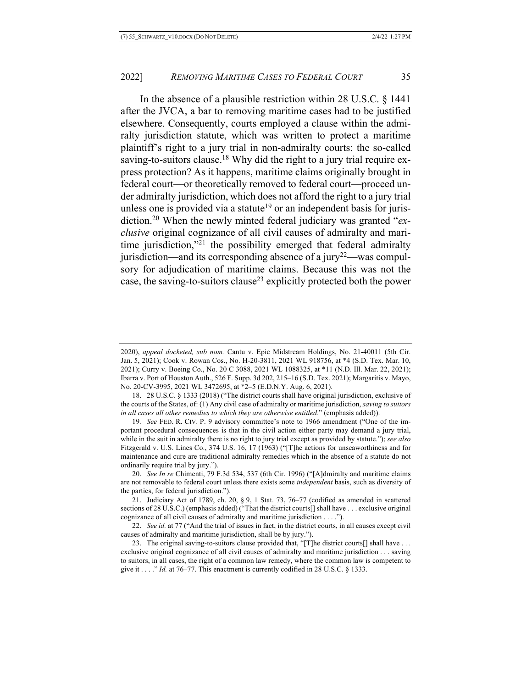In the absence of a plausible restriction within 28 U.S.C. § 1441 after the JVCA, a bar to removing maritime cases had to be justified elsewhere. Consequently, courts employed a clause within the admiralty jurisdiction statute, which was written to protect a maritime plaintiff's right to a jury trial in non-admiralty courts: the so-called saving-to-suitors clause.<sup>18</sup> Why did the right to a jury trial require express protection? As it happens, maritime claims originally brought in federal court—or theoretically removed to federal court—proceed under admiralty jurisdiction, which does not afford the right to a jury trial unless one is provided via a statute<sup>19</sup> or an independent basis for jurisdiction.20 When the newly minted federal judiciary was granted "*exclusive* original cognizance of all civil causes of admiralty and maritime jurisdiction,"<sup>21</sup> the possibility emerged that federal admiralty jurisdiction—and its corresponding absence of a jury<sup>22</sup>—was compulsory for adjudication of maritime claims. Because this was not the case, the saving-to-suitors clause<sup>23</sup> explicitly protected both the power

<sup>2020),</sup> *appeal docketed, sub nom.* Cantu v. Epic Midstream Holdings, No. 21-40011 (5th Cir. Jan. 5, 2021); Cook v. Rowan Cos., No. H-20-3811, 2021 WL 918756, at \*4 (S.D. Tex. Mar. 10, 2021); Curry v. Boeing Co., No. 20 C 3088, 2021 WL 1088325, at \*11 (N.D. Ill. Mar. 22, 2021); Ibarra v. Port of Houston Auth., 526 F. Supp. 3d 202, 215–16 (S.D. Tex. 2021); Margaritis v. Mayo, No. 20-CV-3995, 2021 WL 3472695, at \*2–5 (E.D.N.Y. Aug. 6, 2021).

<sup>18.</sup> 28 U.S.C. § 1333 (2018) ("The district courts shall have original jurisdiction, exclusive of the courts of the States, of: (1) Any civil case of admiralty or maritime jurisdiction, *saving to suitors in all cases all other remedies to which they are otherwise entitled*." (emphasis added)).

<sup>19</sup>*. See* FED. R. CIV. P. 9 advisory committee's note to 1966 amendment ("One of the important procedural consequences is that in the civil action either party may demand a jury trial, while in the suit in admiralty there is no right to jury trial except as provided by statute."); *see also* Fitzgerald v. U.S. Lines Co., 374 U.S. 16, 17 (1963) ("[T]he actions for unseaworthiness and for maintenance and cure are traditional admiralty remedies which in the absence of a statute do not ordinarily require trial by jury.").

<sup>20.</sup> *See In re* Chimenti, 79 F.3d 534, 537 (6th Cir. 1996) ("[A]dmiralty and maritime claims are not removable to federal court unless there exists some *independent* basis, such as diversity of the parties, for federal jurisdiction.").

<sup>21.</sup> Judiciary Act of 1789, ch. 20, § 9, 1 Stat. 73, 76–77 (codified as amended in scattered sections of 28 U.S.C.) (emphasis added) ("That the district courts[] shall have . . . exclusive original cognizance of all civil causes of admiralty and maritime jurisdiction . . . .").

<sup>22.</sup> *See id.* at 77 ("And the trial of issues in fact, in the district courts, in all causes except civil causes of admiralty and maritime jurisdiction, shall be by jury.").

<sup>23.</sup> The original saving-to-suitors clause provided that, "[T]he district courts[] shall have ... exclusive original cognizance of all civil causes of admiralty and maritime jurisdiction . . . saving to suitors, in all cases, the right of a common law remedy, where the common law is competent to give it . . . ." *Id.* at 76–77. This enactment is currently codified in 28 U.S.C.  $\S$  1333.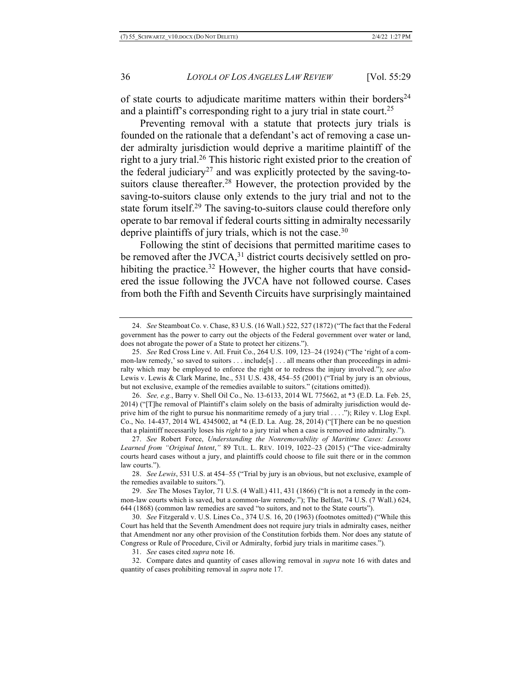of state courts to adjudicate maritime matters within their borders $^{24}$ and a plaintiff's corresponding right to a jury trial in state court.<sup>25</sup>

Preventing removal with a statute that protects jury trials is founded on the rationale that a defendant's act of removing a case under admiralty jurisdiction would deprive a maritime plaintiff of the right to a jury trial.<sup>26</sup> This historic right existed prior to the creation of the federal judiciary<sup>27</sup> and was explicitly protected by the saving-tosuitors clause thereafter.<sup>28</sup> However, the protection provided by the saving-to-suitors clause only extends to the jury trial and not to the state forum itself.<sup>29</sup> The saving-to-suitors clause could therefore only operate to bar removal if federal courts sitting in admiralty necessarily deprive plaintiffs of jury trials, which is not the case. $30$ 

Following the stint of decisions that permitted maritime cases to be removed after the JVCA, $31$  district courts decisively settled on prohibiting the practice.<sup>32</sup> However, the higher courts that have considered the issue following the JVCA have not followed course. Cases from both the Fifth and Seventh Circuits have surprisingly maintained

26. *See, e.g.*, Barry v. Shell Oil Co., No. 13-6133, 2014 WL 775662, at \*3 (E.D. La. Feb. 25, 2014) ("[T]he removal of Plaintiff's claim solely on the basis of admiralty jurisdiction would deprive him of the right to pursue his nonmaritime remedy of a jury trial . . . ."); Riley v. Llog Expl. Co., No. 14-437, 2014 WL 4345002, at \*4 (E.D. La. Aug. 28, 2014) ("[T]here can be no question that a plaintiff necessarily loses his *right* to a jury trial when a case is removed into admiralty.").

27. *See* Robert Force, *Understanding the Nonremovability of Maritime Cases: Lessons Learned from "Original Intent*,*"* 89 TUL. L. REV. 1019, 1022–23 (2015) ("The vice-admiralty courts heard cases without a jury, and plaintiffs could choose to file suit there or in the common law courts.").

28. *See Lewis*, 531 U.S. at 454–55 ("Trial by jury is an obvious, but not exclusive, example of the remedies available to suitors.").

29. *See* The Moses Taylor, 71 U.S. (4 Wall.) 411, 431 (1866) ("It is not a remedy in the common-law courts which is saved, but a common-law remedy."); The Belfast, 74 U.S. (7 Wall.) 624, 644 (1868) (common law remedies are saved "to suitors, and not to the State courts").

30. *See* Fitzgerald v. U.S. Lines Co., 374 U.S. 16, 20 (1963) (footnotes omitted) ("While this Court has held that the Seventh Amendment does not require jury trials in admiralty cases, neither that Amendment nor any other provision of the Constitution forbids them. Nor does any statute of Congress or Rule of Procedure, Civil or Admiralty, forbid jury trials in maritime cases.").

31. *See* cases cited *supra* note 16.

32. Compare dates and quantity of cases allowing removal in *supra* note 16 with dates and quantity of cases prohibiting removal in *supra* note 17.

<sup>24.</sup> *See* Steamboat Co. v. Chase, 83 U.S. (16 Wall.) 522, 527 (1872) ("The fact that the Federal government has the power to carry out the objects of the Federal government over water or land, does not abrogate the power of a State to protect her citizens.").

<sup>25.</sup> *See* Red Cross Line v. Atl. Fruit Co., 264 U.S. 109, 123–24 (1924) ("The 'right of a common-law remedy,' so saved to suitors . . . include[s] . . . all means other than proceedings in admiralty which may be employed to enforce the right or to redress the injury involved."); *see also*  Lewis v. Lewis & Clark Marine, Inc., 531 U.S. 438, 454–55 (2001) ("Trial by jury is an obvious, but not exclusive, example of the remedies available to suitors." (citations omitted)).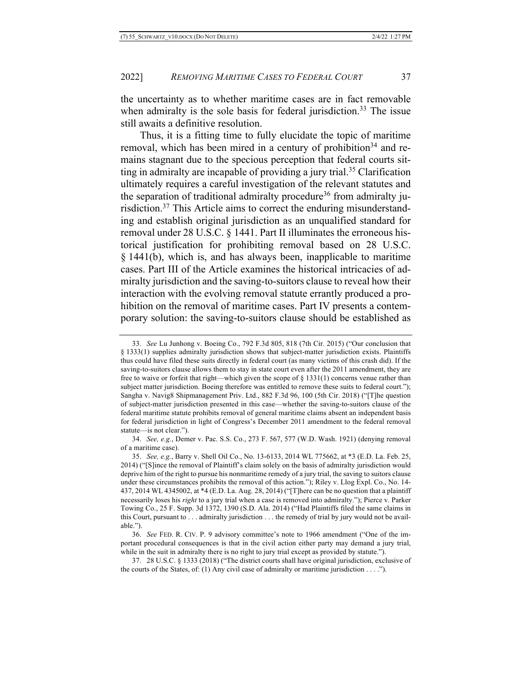the uncertainty as to whether maritime cases are in fact removable when admiralty is the sole basis for federal jurisdiction.<sup>33</sup> The issue still awaits a definitive resolution.

Thus, it is a fitting time to fully elucidate the topic of maritime removal, which has been mired in a century of prohibition<sup>34</sup> and remains stagnant due to the specious perception that federal courts sitting in admiralty are incapable of providing a jury trial.<sup>35</sup> Clarification ultimately requires a careful investigation of the relevant statutes and the separation of traditional admiralty procedure<sup>36</sup> from admiralty jurisdiction.<sup>37</sup> This Article aims to correct the enduring misunderstanding and establish original jurisdiction as an unqualified standard for removal under 28 U.S.C. § 1441. Part II illuminates the erroneous historical justification for prohibiting removal based on 28 U.S.C. § 1441(b), which is, and has always been, inapplicable to maritime cases. Part III of the Article examines the historical intricacies of admiralty jurisdiction and the saving-to-suitors clause to reveal how their interaction with the evolving removal statute errantly produced a prohibition on the removal of maritime cases. Part IV presents a contemporary solution: the saving-to-suitors clause should be established as

<sup>33.</sup> *See* Lu Junhong v. Boeing Co., 792 F.3d 805, 818 (7th Cir. 2015) ("Our conclusion that § 1333(1) supplies admiralty jurisdiction shows that subject-matter jurisdiction exists. Plaintiffs thus could have filed these suits directly in federal court (as many victims of this crash did). If the saving-to-suitors clause allows them to stay in state court even after the 2011 amendment, they are free to waive or forfeit that right—which given the scope of § 1331(1) concerns venue rather than subject matter jurisdiction. Boeing therefore was entitled to remove these suits to federal court."); Sangha v. Navig8 Shipmanagement Priv. Ltd., 882 F.3d 96, 100 (5th Cir. 2018) ("[T]he question of subject-matter jurisdiction presented in this case—whether the saving-to-suitors clause of the federal maritime statute prohibits removal of general maritime claims absent an independent basis for federal jurisdiction in light of Congress's December 2011 amendment to the federal removal statute—is not clear.").

<sup>34.</sup> *See, e.g.*, Demer v. Pac. S.S. Co., 273 F. 567, 577 (W.D. Wash. 1921) (denying removal of a maritime case).

<sup>35.</sup> *See, e.g.*, Barry v. Shell Oil Co., No. 13-6133, 2014 WL 775662, at \*3 (E.D. La. Feb. 25, 2014) ("[S]ince the removal of Plaintiff's claim solely on the basis of admiralty jurisdiction would deprive him of the right to pursue his nonmaritime remedy of a jury trial, the saving to suitors clause under these circumstances prohibits the removal of this action."); Riley v. Llog Expl. Co., No. 14- 437, 2014 WL 4345002, at \*4 (E.D. La. Aug. 28, 2014) ("[T]here can be no question that a plaintiff necessarily loses his *right* to a jury trial when a case is removed into admiralty."); Pierce v. Parker Towing Co., 25 F. Supp. 3d 1372, 1390 (S.D. Ala. 2014) ("Had Plaintiffs filed the same claims in this Court, pursuant to . . . admiralty jurisdiction . . . the remedy of trial by jury would not be available.").

<sup>36.</sup> *See* FED. R. CIV. P. 9 advisory committee's note to 1966 amendment ("One of the important procedural consequences is that in the civil action either party may demand a jury trial, while in the suit in admiralty there is no right to jury trial except as provided by statute.").

<sup>37.</sup> 28 U.S.C. § 1333 (2018) ("The district courts shall have original jurisdiction, exclusive of the courts of the States, of: (1) Any civil case of admiralty or maritime jurisdiction  $\dots$ .").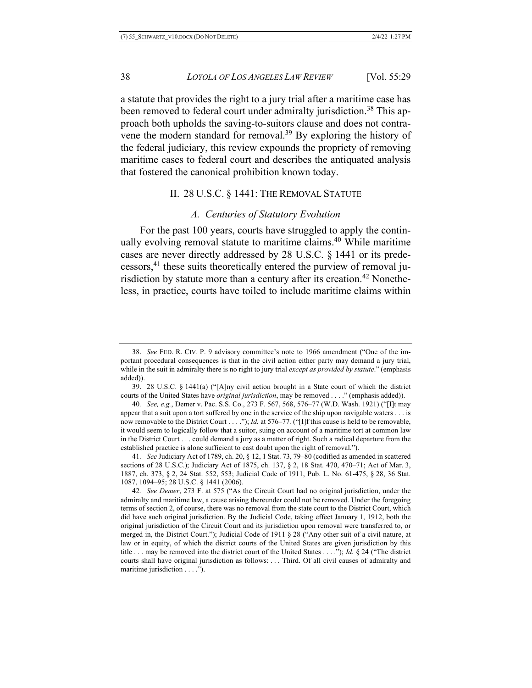a statute that provides the right to a jury trial after a maritime case has been removed to federal court under admiralty jurisdiction.<sup>38</sup> This approach both upholds the saving-to-suitors clause and does not contravene the modern standard for removal.<sup>39</sup> By exploring the history of the federal judiciary, this review expounds the propriety of removing maritime cases to federal court and describes the antiquated analysis that fostered the canonical prohibition known today.

# II. 28 U.S.C. § 1441: THE REMOVAL STATUTE

### *A. Centuries of Statutory Evolution*

For the past 100 years, courts have struggled to apply the continually evolving removal statute to maritime claims.<sup>40</sup> While maritime cases are never directly addressed by 28 U.S.C. § 1441 or its predecessors,41 these suits theoretically entered the purview of removal jurisdiction by statute more than a century after its creation.<sup>42</sup> Nonetheless, in practice, courts have toiled to include maritime claims within

<sup>38.</sup> *See* FED. R. CIV. P. 9 advisory committee's note to 1966 amendment ("One of the important procedural consequences is that in the civil action either party may demand a jury trial, while in the suit in admiralty there is no right to jury trial *except as provided by statute*." (emphasis added)).

<sup>39.</sup> 28 U.S.C. § 1441(a) ("[A]ny civil action brought in a State court of which the district courts of the United States have *original jurisdiction*, may be removed . . . ." (emphasis added)).

<sup>40</sup>*. See, e.g.*, Demer v. Pac. S.S. Co., 273 F. 567, 568, 576–77 (W.D. Wash. 1921) ("[I]t may appear that a suit upon a tort suffered by one in the service of the ship upon navigable waters . . . is now removable to the District Court . . . ."); *Id.* at 576–77. ("[I]f this cause is held to be removable, it would seem to logically follow that a suitor, suing on account of a maritime tort at common law in the District Court . . . could demand a jury as a matter of right. Such a radical departure from the established practice is alone sufficient to cast doubt upon the right of removal.").

<sup>41</sup>*. See* Judiciary Act of 1789, ch. 20, § 12, 1 Stat. 73, 79–80 (codified as amended in scattered sections of 28 U.S.C.); Judiciary Act of 1875, ch. 137, § 2, 18 Stat. 470, 470–71; Act of Mar. 3, 1887, ch. 373, § 2, 24 Stat. 552, 553; Judicial Code of 1911, Pub. L. No. 61-475, § 28, 36 Stat. 1087, 1094–95; 28 U.S.C. § 1441 (2006).

<sup>42</sup>*. See Demer*, 273 F. at 575 ("As the Circuit Court had no original jurisdiction, under the admiralty and maritime law, a cause arising thereunder could not be removed. Under the foregoing terms of section 2, of course, there was no removal from the state court to the District Court, which did have such original jurisdiction. By the Judicial Code, taking effect January 1, 1912, both the original jurisdiction of the Circuit Court and its jurisdiction upon removal were transferred to, or merged in, the District Court."); Judicial Code of 1911 § 28 ("Any other suit of a civil nature, at law or in equity, of which the district courts of the United States are given jurisdiction by this title . . . may be removed into the district court of the United States . . . ."); *Id.* § 24 ("The district courts shall have original jurisdiction as follows: . . . Third. Of all civil causes of admiralty and maritime jurisdiction . . . .").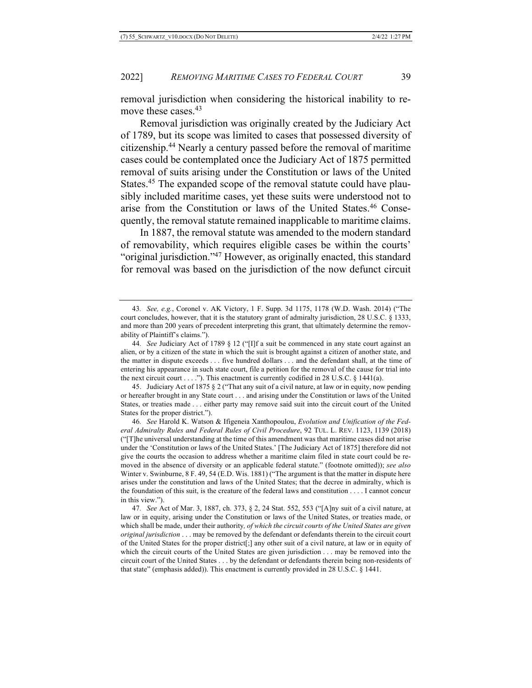removal jurisdiction when considering the historical inability to remove these cases.<sup>43</sup>

Removal jurisdiction was originally created by the Judiciary Act of 1789, but its scope was limited to cases that possessed diversity of citizenship.44 Nearly a century passed before the removal of maritime cases could be contemplated once the Judiciary Act of 1875 permitted removal of suits arising under the Constitution or laws of the United States.<sup>45</sup> The expanded scope of the removal statute could have plausibly included maritime cases, yet these suits were understood not to arise from the Constitution or laws of the United States.46 Consequently, the removal statute remained inapplicable to maritime claims.

In 1887, the removal statute was amended to the modern standard of removability, which requires eligible cases be within the courts' "original jurisdiction."<sup>47</sup> However, as originally enacted, this standard for removal was based on the jurisdiction of the now defunct circuit

45. Judiciary Act of 1875 § 2 ("That any suit of a civil nature, at law or in equity, now pending or hereafter brought in any State court . . . and arising under the Constitution or laws of the United States, or treaties made . . . either party may remove said suit into the circuit court of the United States for the proper district.").

46*. See* Harold K. Watson & Ifigeneia Xanthopoulou, *Evolution and Unification of the Federal Admiralty Rules and Federal Rules of Civil Procedure*, 92 TUL. L. REV. 1123, 1139 (2018) ("[T]he universal understanding at the time of this amendment was that maritime cases did not arise under the 'Constitution or laws of the United States.' [The Judiciary Act of 1875] therefore did not give the courts the occasion to address whether a maritime claim filed in state court could be removed in the absence of diversity or an applicable federal statute." (footnote omitted)); *see also* Winter v. Swinburne, 8 F. 49, 54 (E.D. Wis. 1881) ("The argument is that the matter in dispute here arises under the constitution and laws of the United States; that the decree in admiralty, which is the foundation of this suit, is the creature of the federal laws and constitution . . . . I cannot concur in this view.").

47*. See* Act of Mar. 3, 1887, ch. 373, § 2, 24 Stat. 552, 553 ("[A]ny suit of a civil nature, at law or in equity, arising under the Constitution or laws of the United States, or treaties made, or which shall be made, under their authority*, of which the circuit courts of the United States are given original jurisdiction* . . . may be removed by the defendant or defendants therein to the circuit court of the United States for the proper district[;] any other suit of a civil nature, at law or in equity of which the circuit courts of the United States are given jurisdiction . . . may be removed into the circuit court of the United States . . . by the defendant or defendants therein being non-residents of that state" (emphasis added)). This enactment is currently provided in 28 U.S.C. § 1441.

<sup>43</sup>*. See, e.g.*, Coronel v. AK Victory, 1 F. Supp. 3d 1175, 1178 (W.D. Wash. 2014) ("The court concludes, however, that it is the statutory grant of admiralty jurisdiction, 28 U.S.C. § 1333, and more than 200 years of precedent interpreting this grant, that ultimately determine the removability of Plaintiff's claims.").

<sup>44</sup>*. See* Judiciary Act of 1789 § 12 ("[I]f a suit be commenced in any state court against an alien, or by a citizen of the state in which the suit is brought against a citizen of another state, and the matter in dispute exceeds . . . five hundred dollars . . . and the defendant shall, at the time of entering his appearance in such state court, file a petition for the removal of the cause for trial into the next circuit court  $\dots$ ..."). This enactment is currently codified in 28 U.S.C. § 1441(a).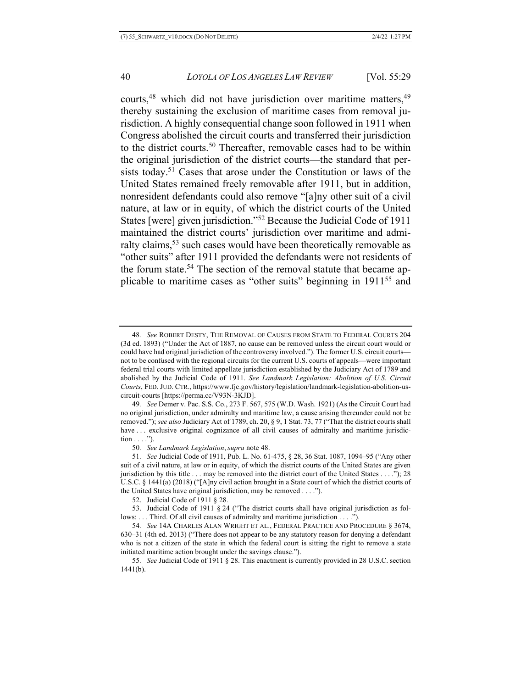courts,<sup>48</sup> which did not have jurisdiction over maritime matters,<sup>49</sup> thereby sustaining the exclusion of maritime cases from removal jurisdiction. A highly consequential change soon followed in 1911 when Congress abolished the circuit courts and transferred their jurisdiction to the district courts.<sup>50</sup> Thereafter, removable cases had to be within the original jurisdiction of the district courts—the standard that persists today.51 Cases that arose under the Constitution or laws of the United States remained freely removable after 1911, but in addition, nonresident defendants could also remove "[a]ny other suit of a civil nature, at law or in equity, of which the district courts of the United States [were] given jurisdiction."52 Because the Judicial Code of 1911 maintained the district courts' jurisdiction over maritime and admiralty claims,  $53$  such cases would have been theoretically removable as "other suits" after 1911 provided the defendants were not residents of the forum state.<sup>54</sup> The section of the removal statute that became applicable to maritime cases as "other suits" beginning in 191155 and

<sup>48</sup>*. See* ROBERT DESTY, THE REMOVAL OF CAUSES FROM STATE TO FEDERAL COURTS 204 (3d ed. 1893) ("Under the Act of 1887, no cause can be removed unless the circuit court would or could have had original jurisdiction of the controversy involved."). The former U.S. circuit courts not to be confused with the regional circuits for the current U.S. courts of appeals—were important federal trial courts with limited appellate jurisdiction established by the Judiciary Act of 1789 and abolished by the Judicial Code of 1911. *See Landmark Legislation: Abolition of U.S. Circuit Courts*, FED. JUD. CTR., https://www.fjc.gov/history/legislation/landmark-legislation-abolition-uscircuit-courts [https://perma.cc/V93N-3KJD].

<sup>49</sup>*. See* Demer v. Pac. S.S. Co., 273 F. 567, 575 (W.D. Wash. 1921) (As the Circuit Court had no original jurisdiction, under admiralty and maritime law, a cause arising thereunder could not be removed."); *see also* Judiciary Act of 1789, ch. 20, § 9, 1 Stat. 73, 77 ("That the district courts shall have ... exclusive original cognizance of all civil causes of admiralty and maritime jurisdiction . . . .").

<sup>50</sup>*. See Landmark Legislation*, *supra* note 48.

<sup>51</sup>*. See* Judicial Code of 1911, Pub. L. No. 61-475, § 28, 36 Stat. 1087, 1094–95 ("Any other suit of a civil nature, at law or in equity, of which the district courts of the United States are given jurisdiction by this title . . . may be removed into the district court of the United States . . . ."); 28 U.S.C. § 1441(a) (2018) ("[A]ny civil action brought in a State court of which the district courts of the United States have original jurisdiction, may be removed . . . .").

<sup>52.</sup> Judicial Code of 1911 § 28.

<sup>53.</sup> Judicial Code of 1911 § 24 ("The district courts shall have original jurisdiction as follows: . . . Third. Of all civil causes of admiralty and maritime jurisdiction . . . .").

<sup>54</sup>*. See* 14A CHARLES ALAN WRIGHT ET AL., FEDERAL PRACTICE AND PROCEDURE § 3674, 630–31 (4th ed. 2013) ("There does not appear to be any statutory reason for denying a defendant who is not a citizen of the state in which the federal court is sitting the right to remove a state initiated maritime action brought under the savings clause.").

<sup>55</sup>*. See* Judicial Code of 1911 § 28. This enactment is currently provided in 28 U.S.C. section 1441(b).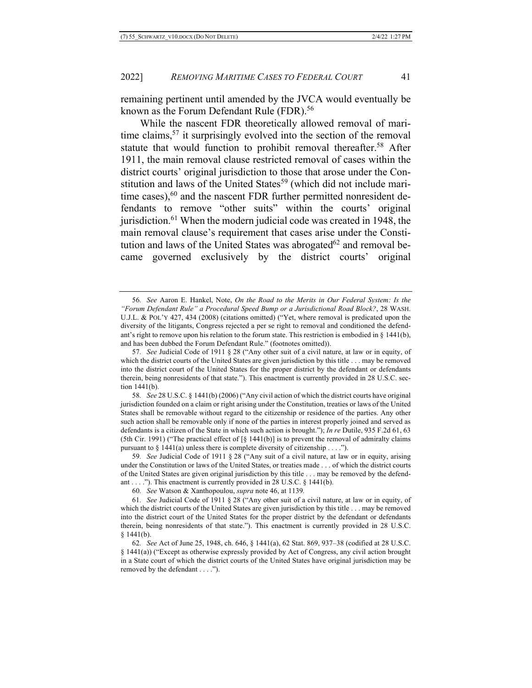remaining pertinent until amended by the JVCA would eventually be known as the Forum Defendant Rule (FDR).<sup>56</sup>

While the nascent FDR theoretically allowed removal of maritime claims,  $57$  it surprisingly evolved into the section of the removal statute that would function to prohibit removal thereafter.<sup>58</sup> After 1911, the main removal clause restricted removal of cases within the district courts' original jurisdiction to those that arose under the Constitution and laws of the United States<sup>59</sup> (which did not include maritime cases), $60$  and the nascent FDR further permitted nonresident defendants to remove "other suits" within the courts' original jurisdiction.<sup>61</sup> When the modern judicial code was created in 1948, the main removal clause's requirement that cases arise under the Constitution and laws of the United States was abrogated $62$  and removal became governed exclusively by the district courts' original

59*. See* Judicial Code of 1911 § 28 ("Any suit of a civil nature, at law or in equity, arising under the Constitution or laws of the United States, or treaties made . . . of which the district courts of the United States are given original jurisdiction by this title . . . may be removed by the defendant . . . ."). This enactment is currently provided in 28 U.S.C.  $\S$  1441(b).

<sup>56</sup>*. See* Aaron E. Hankel, Note, *On the Road to the Merits in Our Federal System: Is the "Forum Defendant Rule" a Procedural Speed Bump or a Jurisdictional Road Block?*, 28 WASH. U.J.L. & POL'Y 427, 434 (2008) (citations omitted) ("Yet, where removal is predicated upon the diversity of the litigants, Congress rejected a per se right to removal and conditioned the defendant's right to remove upon his relation to the forum state. This restriction is embodied in  $\S$  1441(b), and has been dubbed the Forum Defendant Rule." (footnotes omitted)).

<sup>57</sup>*. See* Judicial Code of 1911 § 28 ("Any other suit of a civil nature, at law or in equity, of which the district courts of the United States are given jurisdiction by this title . . . may be removed into the district court of the United States for the proper district by the defendant or defendants therein, being nonresidents of that state."). This enactment is currently provided in 28 U.S.C. section 1441(b).

<sup>58</sup>*. See* 28 U.S.C. § 1441(b) (2006) ("Any civil action of which the district courts have original jurisdiction founded on a claim or right arising under the Constitution, treaties or laws of the United States shall be removable without regard to the citizenship or residence of the parties. Any other such action shall be removable only if none of the parties in interest properly joined and served as defendants is a citizen of the State in which such action is brought."); *In re* Dutile, 935 F.2d 61, 63 (5th Cir. 1991) ("The practical effect of  $\lceil \xi \rceil$  1441(b)] is to prevent the removal of admiralty claims pursuant to  $\S$  1441(a) unless there is complete diversity of citizenship . . . .").

<sup>60</sup>*. See* Watson & Xanthopoulou, *supra* note 46, at 1139*.*

<sup>61</sup>*. See* Judicial Code of 1911 § 28 ("Any other suit of a civil nature, at law or in equity, of which the district courts of the United States are given jurisdiction by this title . . . may be removed into the district court of the United States for the proper district by the defendant or defendants therein, being nonresidents of that state."). This enactment is currently provided in 28 U.S.C.  $§ 1441(b).$ 

<sup>62</sup>*. See* Act of June 25, 1948, ch. 646, § 1441(a), 62 Stat. 869, 937–38 (codified at 28 U.S.C. § 1441(a)) ("Except as otherwise expressly provided by Act of Congress, any civil action brought in a State court of which the district courts of the United States have original jurisdiction may be removed by the defendant . . . .").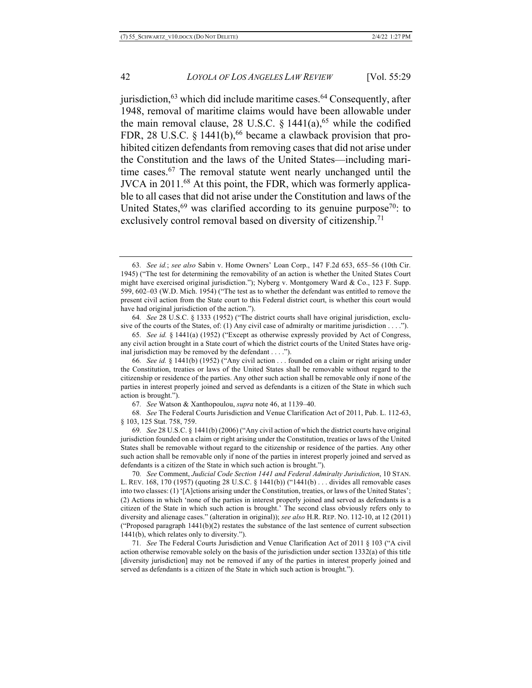jurisdiction,  $63$  which did include maritime cases.  $64$  Consequently, after 1948, removal of maritime claims would have been allowable under the main removal clause, 28 U.S.C.  $\S$  1441(a),<sup>65</sup> while the codified FDR, 28 U.S.C. § 1441(b),<sup>66</sup> became a clawback provision that prohibited citizen defendants from removing cases that did not arise under the Constitution and the laws of the United States—including maritime cases.67 The removal statute went nearly unchanged until the JVCA in 2011.68 At this point, the FDR, which was formerly applicable to all cases that did not arise under the Constitution and laws of the United States,  $69$  was clarified according to its genuine purpose<sup>70</sup>: to exclusively control removal based on diversity of citizenship.<sup>71</sup>

66*. See id.* § 1441(b) (1952) ("Any civil action . . . founded on a claim or right arising under the Constitution, treaties or laws of the United States shall be removable without regard to the citizenship or residence of the parties. Any other such action shall be removable only if none of the parties in interest properly joined and served as defendants is a citizen of the State in which such action is brought.").

67*. See* Watson & Xanthopoulou, *supra* note 46, at 1139–40.

68*. See* The Federal Courts Jurisdiction and Venue Clarification Act of 2011, Pub. L. 112-63, § 103, 125 Stat. 758, 759.

69*. See* 28 U.S.C. § 1441(b) (2006) ("Any civil action of which the district courts have original jurisdiction founded on a claim or right arising under the Constitution, treaties or laws of the United States shall be removable without regard to the citizenship or residence of the parties. Any other such action shall be removable only if none of the parties in interest properly joined and served as defendants is a citizen of the State in which such action is brought.").

70*. See* Comment, *Judicial Code Section 1441 and Federal Admiralty Jurisdiction*, 10 STAN. L. REV. 168, 170 (1957) (quoting 28 U.S.C. § 1441(b)) ("1441(b) . . . divides all removable cases into two classes: (1) '[A]ctions arising under the Constitution, treaties, or laws of the United States'; (2) Actions in which 'none of the parties in interest properly joined and served as defendants is a citizen of the State in which such action is brought.' The second class obviously refers only to diversity and alienage cases." (alteration in original)); *see also* H.R. REP. NO. 112-10, at 12 (2011) ("Proposed paragraph  $1441(b)(2)$  restates the substance of the last sentence of current subsection 1441(b), which relates only to diversity.").

71*. See* The Federal Courts Jurisdiction and Venue Clarification Act of 2011 § 103 ("A civil action otherwise removable solely on the basis of the jurisdiction under section 1332(a) of this title [diversity jurisdiction] may not be removed if any of the parties in interest properly joined and served as defendants is a citizen of the State in which such action is brought.").

<sup>63</sup>*. See id.*; *see also* Sabin v. Home Owners' Loan Corp., 147 F.2d 653, 655–56 (10th Cir. 1945) ("The test for determining the removability of an action is whether the United States Court might have exercised original jurisdiction."); Nyberg v. Montgomery Ward & Co., 123 F. Supp. 599, 602–03 (W.D. Mich. 1954) ("The test as to whether the defendant was entitled to remove the present civil action from the State court to this Federal district court, is whether this court would have had original jurisdiction of the action.").

<sup>64</sup>*. See* 28 U.S.C. § 1333 (1952) ("The district courts shall have original jurisdiction, exclusive of the courts of the States, of: (1) Any civil case of admiralty or maritime jurisdiction . . . .").

<sup>65</sup>*. See id.* § 1441(a) (1952) ("Except as otherwise expressly provided by Act of Congress, any civil action brought in a State court of which the district courts of the United States have original jurisdiction may be removed by the defendant . . . .").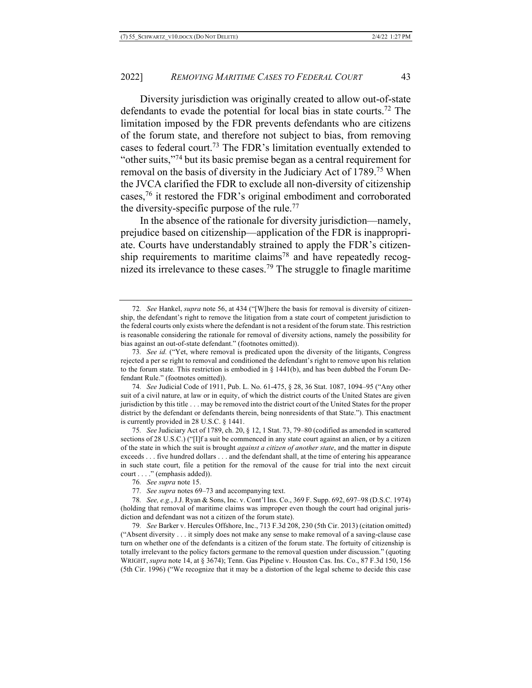Diversity jurisdiction was originally created to allow out-of-state defendants to evade the potential for local bias in state courts.72 The limitation imposed by the FDR prevents defendants who are citizens of the forum state, and therefore not subject to bias, from removing cases to federal court.73 The FDR's limitation eventually extended to "other suits,"74 but its basic premise began as a central requirement for removal on the basis of diversity in the Judiciary Act of 1789.75 When the JVCA clarified the FDR to exclude all non-diversity of citizenship cases,76 it restored the FDR's original embodiment and corroborated the diversity-specific purpose of the rule.77

In the absence of the rationale for diversity jurisdiction—namely, prejudice based on citizenship—application of the FDR is inappropriate. Courts have understandably strained to apply the FDR's citizenship requirements to maritime claims<sup>78</sup> and have repeatedly recognized its irrelevance to these cases.79 The struggle to finagle maritime

74*. See* Judicial Code of 1911, Pub. L. No. 61-475, § 28, 36 Stat. 1087, 1094–95 ("Any other suit of a civil nature, at law or in equity, of which the district courts of the United States are given jurisdiction by this title . . . may be removed into the district court of the United States for the proper district by the defendant or defendants therein, being nonresidents of that State."). This enactment is currently provided in 28 U.S.C. § 1441.

75*. See* Judiciary Act of 1789, ch. 20, § 12, 1 Stat. 73, 79–80 (codified as amended in scattered sections of 28 U.S.C.) ("[I]f a suit be commenced in any state court against an alien, or by a citizen of the state in which the suit is brought *against a citizen of another state*, and the matter in dispute exceeds . . . five hundred dollars . . . and the defendant shall, at the time of entering his appearance in such state court, file a petition for the removal of the cause for trial into the next circuit court . . . ." (emphasis added)).

79*. See* Barker v. Hercules Offshore, Inc., 713 F.3d 208, 230 (5th Cir. 2013) (citation omitted) ("Absent diversity . . . it simply does not make any sense to make removal of a saving-clause case turn on whether one of the defendants is a citizen of the forum state. The fortuity of citizenship is totally irrelevant to the policy factors germane to the removal question under discussion." (quoting WRIGHT, *supra* note 14, at § 3674); Tenn. Gas Pipeline v. Houston Cas. Ins. Co., 87 F.3d 150, 156 (5th Cir. 1996) ("We recognize that it may be a distortion of the legal scheme to decide this case

<sup>72</sup>*. See* Hankel, *supra* note 56, at 434 ("[W]here the basis for removal is diversity of citizenship, the defendant's right to remove the litigation from a state court of competent jurisdiction to the federal courts only exists where the defendant is not a resident of the forum state. This restriction is reasonable considering the rationale for removal of diversity actions, namely the possibility for bias against an out-of-state defendant." (footnotes omitted)).

<sup>73</sup>*. See id.* ("Yet, where removal is predicated upon the diversity of the litigants, Congress rejected a per se right to removal and conditioned the defendant's right to remove upon his relation to the forum state. This restriction is embodied in  $\S$  1441(b), and has been dubbed the Forum Defendant Rule." (footnotes omitted)).

<sup>76</sup>*. See supra* note 15.

<sup>77</sup>*. See supra* notes 69–73 and accompanying text.

<sup>78</sup>*. See, e.g.*, J.J. Ryan & Sons, Inc. v. Cont'l Ins. Co., 369 F. Supp. 692, 697–98 (D.S.C. 1974) (holding that removal of maritime claims was improper even though the court had original jurisdiction and defendant was not a citizen of the forum state).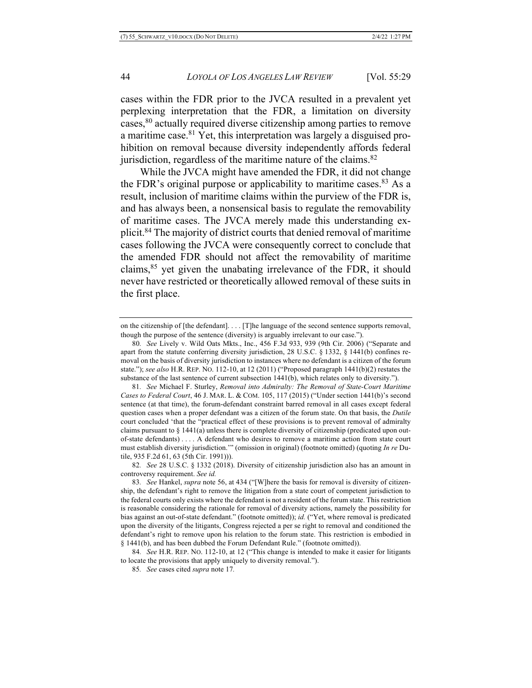cases within the FDR prior to the JVCA resulted in a prevalent yet perplexing interpretation that the FDR, a limitation on diversity cases,80 actually required diverse citizenship among parties to remove a maritime case.81 Yet, this interpretation was largely a disguised prohibition on removal because diversity independently affords federal jurisdiction, regardless of the maritime nature of the claims. $82$ 

While the JVCA might have amended the FDR, it did not change the FDR's original purpose or applicability to maritime cases.<sup>83</sup> As a result, inclusion of maritime claims within the purview of the FDR is, and has always been, a nonsensical basis to regulate the removability of maritime cases. The JVCA merely made this understanding explicit.84 The majority of district courts that denied removal of maritime cases following the JVCA were consequently correct to conclude that the amended FDR should not affect the removability of maritime claims,85 yet given the unabating irrelevance of the FDR, it should never have restricted or theoretically allowed removal of these suits in the first place.

80*. See* Lively v. Wild Oats Mkts., Inc., 456 F.3d 933, 939 (9th Cir. 2006) ("Separate and apart from the statute conferring diversity jurisdiction, 28 U.S.C. § 1332, § 1441(b) confines removal on the basis of diversity jurisdiction to instances where no defendant is a citizen of the forum state."); *see also* H.R. REP. NO. 112-10, at 12 (2011) ("Proposed paragraph 1441(b)(2) restates the substance of the last sentence of current subsection 1441(b), which relates only to diversity.").

81*. See* Michael F. Sturley, *Removal into Admiralty: The Removal of State-Court Maritime Cases to Federal Court*, 46 J. MAR. L. & COM. 105, 117 (2015) ("Under section 1441(b)'s second sentence (at that time), the forum-defendant constraint barred removal in all cases except federal question cases when a proper defendant was a citizen of the forum state. On that basis, the *Dutile*  court concluded 'that the "practical effect of these provisions is to prevent removal of admiralty claims pursuant to § 1441(a) unless there is complete diversity of citizenship (predicated upon outof-state defendants) . . . . A defendant who desires to remove a maritime action from state court must establish diversity jurisdiction.'" (omission in original) (footnote omitted) (quoting *In re* Dutile, 935 F.2d 61, 63 (5th Cir. 1991))).

82*. See* 28 U.S.C. § 1332 (2018). Diversity of citizenship jurisdiction also has an amount in controversy requirement. *See id.*

83*. See* Hankel, *supra* note 56, at 434 ("[W]here the basis for removal is diversity of citizenship, the defendant's right to remove the litigation from a state court of competent jurisdiction to the federal courts only exists where the defendant is not a resident of the forum state. This restriction is reasonable considering the rationale for removal of diversity actions, namely the possibility for bias against an out-of-state defendant." (footnote omitted)); *id.* ("Yet, where removal is predicated upon the diversity of the litigants, Congress rejected a per se right to removal and conditioned the defendant's right to remove upon his relation to the forum state. This restriction is embodied in § 1441(b), and has been dubbed the Forum Defendant Rule." (footnote omitted)).

84*. See* H.R. REP. NO. 112-10, at 12 ("This change is intended to make it easier for litigants to locate the provisions that apply uniquely to diversity removal.").

85*. See* cases cited *supra* note 17*.*

on the citizenship of [the defendant]. . . . [T]he language of the second sentence supports removal, though the purpose of the sentence (diversity) is arguably irrelevant to our case.").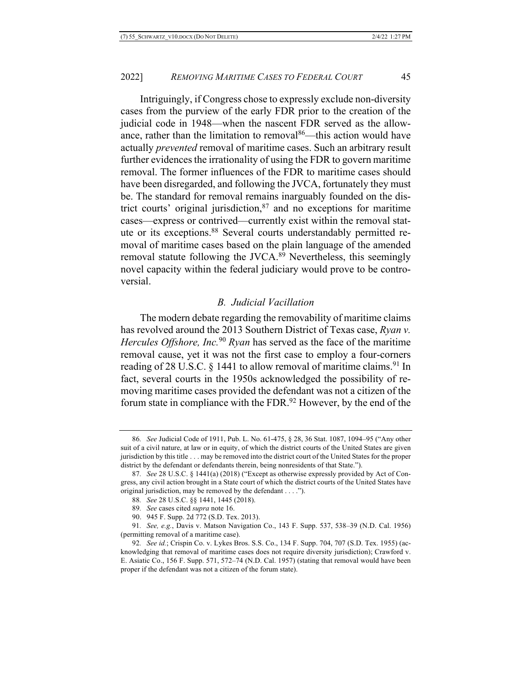Intriguingly, if Congress chose to expressly exclude non-diversity cases from the purview of the early FDR prior to the creation of the judicial code in 1948—when the nascent FDR served as the allowance, rather than the limitation to removal $86$ —this action would have actually *prevented* removal of maritime cases. Such an arbitrary result further evidences the irrationality of using the FDR to govern maritime removal. The former influences of the FDR to maritime cases should have been disregarded, and following the JVCA, fortunately they must be. The standard for removal remains inarguably founded on the district courts' original jurisdiction, $87$  and no exceptions for maritime cases—express or contrived—currently exist within the removal statute or its exceptions. <sup>88</sup> Several courts understandably permitted removal of maritime cases based on the plain language of the amended removal statute following the JVCA.<sup>89</sup> Nevertheless, this seemingly novel capacity within the federal judiciary would prove to be controversial.

# *B. Judicial Vacillation*

The modern debate regarding the removability of maritime claims has revolved around the 2013 Southern District of Texas case, *Ryan v. Hercules Offshore, Inc.*<sup>90</sup> *Ryan* has served as the face of the maritime removal cause, yet it was not the first case to employ a four-corners reading of 28 U.S.C. § 1441 to allow removal of maritime claims.<sup>91</sup> In fact, several courts in the 1950s acknowledged the possibility of removing maritime cases provided the defendant was not a citizen of the forum state in compliance with the FDR.<sup>92</sup> However, by the end of the

<sup>86</sup>*. See* Judicial Code of 1911, Pub. L. No. 61-475, § 28, 36 Stat. 1087, 1094–95 ("Any other suit of a civil nature, at law or in equity, of which the district courts of the United States are given jurisdiction by this title . . . may be removed into the district court of the United States for the proper district by the defendant or defendants therein, being nonresidents of that State.").

<sup>87</sup>*. See* 28 U.S.C. § 1441(a) (2018) ("Except as otherwise expressly provided by Act of Congress, any civil action brought in a State court of which the district courts of the United States have original jurisdiction, may be removed by the defendant . . . .").

<sup>88</sup>*. See* 28 U.S.C. §§ 1441, 1445 (2018).

<sup>89</sup>*. See* cases cited *supra* note 16.

<sup>90.</sup> 945 F. Supp. 2d 772 (S.D. Tex. 2013).

<sup>91</sup>*. See, e.g.*, Davis v. Matson Navigation Co., 143 F. Supp. 537, 538–39 (N.D. Cal. 1956) (permitting removal of a maritime case).

<sup>92</sup>*. See id.*; Crispin Co. v. Lykes Bros. S.S. Co., 134 F. Supp. 704, 707 (S.D. Tex. 1955) (acknowledging that removal of maritime cases does not require diversity jurisdiction); Crawford v. E. Asiatic Co., 156 F. Supp. 571, 572–74 (N.D. Cal. 1957) (stating that removal would have been proper if the defendant was not a citizen of the forum state).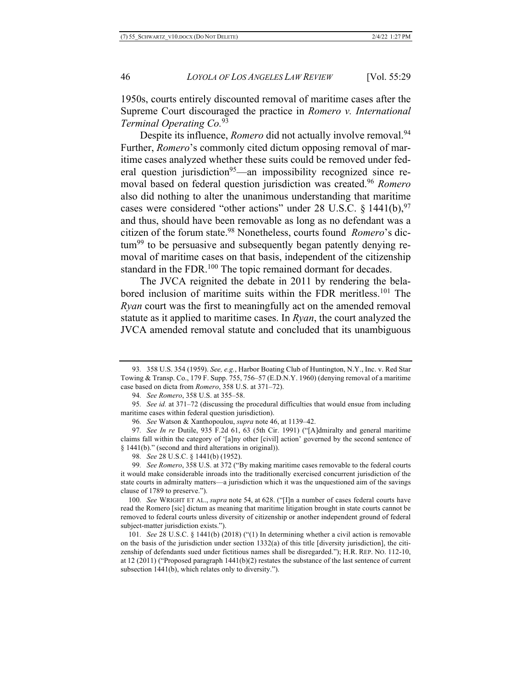1950s, courts entirely discounted removal of maritime cases after the Supreme Court discouraged the practice in *Romero v. International Terminal Operating Co.* 93

Despite its influence, *Romero* did not actually involve removal.<sup>94</sup> Further, *Romero*'s commonly cited dictum opposing removal of maritime cases analyzed whether these suits could be removed under federal question jurisdiction<sup>95</sup>—an impossibility recognized since removal based on federal question jurisdiction was created.96 *Romero* also did nothing to alter the unanimous understanding that maritime cases were considered "other actions" under 28 U.S.C.  $\S$  1441(b), <sup>97</sup> and thus, should have been removable as long as no defendant was a citizen of the forum state.98 Nonetheless, courts found *Romero*'s dictum<sup>99</sup> to be persuasive and subsequently began patently denying removal of maritime cases on that basis, independent of the citizenship standard in the FDR.<sup>100</sup> The topic remained dormant for decades.

The JVCA reignited the debate in 2011 by rendering the belabored inclusion of maritime suits within the FDR meritless.<sup>101</sup> The *Ryan* court was the first to meaningfully act on the amended removal statute as it applied to maritime cases. In *Ryan*, the court analyzed the JVCA amended removal statute and concluded that its unambiguous

<sup>93</sup>*.* 358 U.S. 354 (1959). *See, e.g.*, Harbor Boating Club of Huntington, N.Y., Inc. v. Red Star Towing & Transp. Co., 179 F. Supp. 755, 756–57 (E.D.N.Y. 1960) (denying removal of a maritime case based on dicta from *Romero*, 358 U.S. at 371–72).

<sup>94</sup>*. See Romero*, 358 U.S. at 355–58.

<sup>95</sup>*. See id.* at 371–72 (discussing the procedural difficulties that would ensue from including maritime cases within federal question jurisdiction).

<sup>96</sup>*. See* Watson & Xanthopoulou, *supra* note 46, at 1139–42.

<sup>97</sup>*. See In re* Dutile, 935 F.2d 61, 63 (5th Cir. 1991) ("[A]dmiralty and general maritime claims fall within the category of '[a]ny other [civil] action' governed by the second sentence of § 1441(b)." (second and third alterations in original)).

<sup>98</sup>*. See* 28 U.S.C. § 1441(b) (1952).

<sup>99</sup>*. See Romero*, 358 U.S. at 372 ("By making maritime cases removable to the federal courts it would make considerable inroads into the traditionally exercised concurrent jurisdiction of the state courts in admiralty matters—a jurisdiction which it was the unquestioned aim of the savings clause of 1789 to preserve.").

<sup>100</sup>*. See* WRIGHT ET AL., *supra* note 54, at 628. ("[I]n a number of cases federal courts have read the Romero [sic] dictum as meaning that maritime litigation brought in state courts cannot be removed to federal courts unless diversity of citizenship or another independent ground of federal subject-matter jurisdiction exists.").

<sup>101</sup>*. See* 28 U.S.C. § 1441(b) (2018) ("(1) In determining whether a civil action is removable on the basis of the jurisdiction under section  $1332(a)$  of this title [diversity jurisdiction], the citizenship of defendants sued under fictitious names shall be disregarded."); H.R. REP. NO. 112-10, at 12 (2011) ("Proposed paragraph 1441(b)(2) restates the substance of the last sentence of current subsection 1441(b), which relates only to diversity.").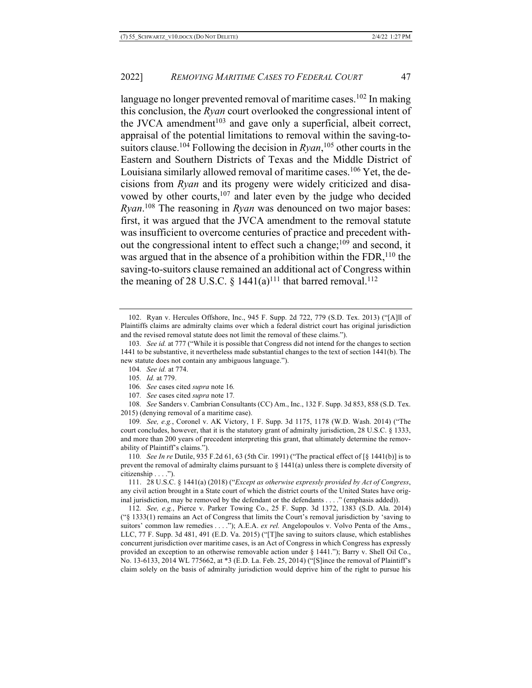language no longer prevented removal of maritime cases.<sup>102</sup> In making this conclusion, the *Ryan* court overlooked the congressional intent of the JVCA amendment<sup>103</sup> and gave only a superficial, albeit correct, appraisal of the potential limitations to removal within the saving-tosuitors clause.104 Following the decision in *Ryan*, <sup>105</sup> other courts in the Eastern and Southern Districts of Texas and the Middle District of Louisiana similarly allowed removal of maritime cases.<sup>106</sup> Yet, the decisions from *Ryan* and its progeny were widely criticized and disavowed by other courts, $107$  and later even by the judge who decided *Ryan*. <sup>108</sup> The reasoning in *Ryan* was denounced on two major bases: first, it was argued that the JVCA amendment to the removal statute was insufficient to overcome centuries of practice and precedent without the congressional intent to effect such a change;<sup>109</sup> and second, it was argued that in the absence of a prohibition within the  $FDR$ ,  $^{110}$  the saving-to-suitors clause remained an additional act of Congress within the meaning of 28 U.S.C.  $\S$  1441(a)<sup>111</sup> that barred removal.<sup>112</sup>

- 104*. See id.* at 774.
- 105*. Id.* at 779.
- 106*. See* cases cited *supra* note 16*.*
- 107*. See* cases cited *supra* note 17*.*

108*. See* Sanders v. Cambrian Consultants (CC) Am., Inc., 132 F. Supp. 3d 853, 858 (S.D. Tex. 2015) (denying removal of a maritime case).

109*. See, e.g.*, Coronel v. AK Victory, 1 F. Supp. 3d 1175, 1178 (W.D. Wash. 2014) ("The court concludes, however, that it is the statutory grant of admiralty jurisdiction, 28 U.S.C. § 1333, and more than 200 years of precedent interpreting this grant, that ultimately determine the removability of Plaintiff's claims.").

110*. See In re* Dutile, 935 F.2d 61, 63 (5th Cir. 1991) ("The practical effect of [§ 1441(b)] is to prevent the removal of admiralty claims pursuant to § 1441(a) unless there is complete diversity of citizenship . . . .").

111. 28 U.S.C. § 1441(a) (2018) ("*Except as otherwise expressly provided by Act of Congress*, any civil action brought in a State court of which the district courts of the United States have original jurisdiction, may be removed by the defendant or the defendants . . . ." (emphasis added)).

112*. See, e.g.*, Pierce v. Parker Towing Co., 25 F. Supp. 3d 1372, 1383 (S.D. Ala. 2014) ("§ 1333(1) remains an Act of Congress that limits the Court's removal jurisdiction by 'saving to suitors' common law remedies . . . ."); A.E.A. *ex rel.* Angelopoulos v. Volvo Penta of the Ams., LLC, 77 F. Supp. 3d 481, 491 (E.D. Va. 2015) ("[T]he saving to suitors clause, which establishes concurrent jurisdiction over maritime cases, is an Act of Congress in which Congress has expressly provided an exception to an otherwise removable action under § 1441."); Barry v. Shell Oil Co., No. 13-6133, 2014 WL 775662, at \*3 (E.D. La. Feb. 25, 2014) ("[S]ince the removal of Plaintiff's claim solely on the basis of admiralty jurisdiction would deprive him of the right to pursue his

<sup>102.</sup> Ryan v. Hercules Offshore, Inc., 945 F. Supp. 2d 722, 779 (S.D. Tex. 2013) ("[A]ll of Plaintiffs claims are admiralty claims over which a federal district court has original jurisdiction and the revised removal statute does not limit the removal of these claims.").

<sup>103</sup>*. See id.* at 777 ("While it is possible that Congress did not intend for the changes to section 1441 to be substantive, it nevertheless made substantial changes to the text of section 1441(b). The new statute does not contain any ambiguous language.").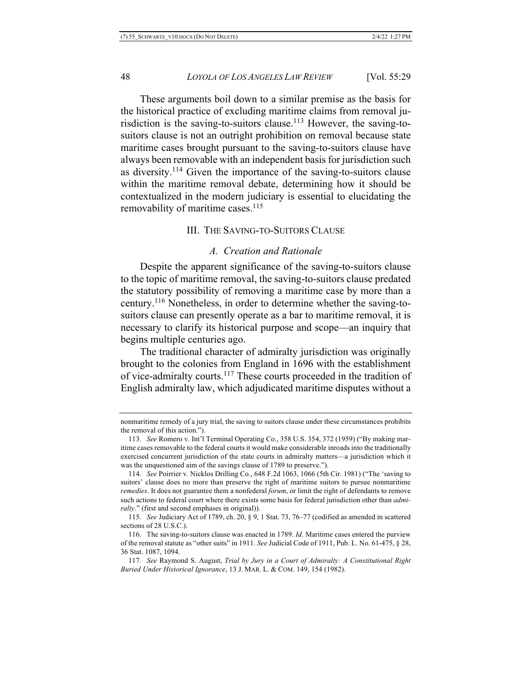These arguments boil down to a similar premise as the basis for the historical practice of excluding maritime claims from removal jurisdiction is the saving-to-suitors clause.113 However, the saving-tosuitors clause is not an outright prohibition on removal because state maritime cases brought pursuant to the saving-to-suitors clause have always been removable with an independent basis for jurisdiction such as diversity.114 Given the importance of the saving-to-suitors clause within the maritime removal debate, determining how it should be contextualized in the modern judiciary is essential to elucidating the removability of maritime cases.<sup>115</sup>

#### III. THE SAVING-TO-SUITORS CLAUSE

# *A. Creation and Rationale*

Despite the apparent significance of the saving-to-suitors clause to the topic of maritime removal, the saving-to-suitors clause predated the statutory possibility of removing a maritime case by more than a century.116 Nonetheless, in order to determine whether the saving-tosuitors clause can presently operate as a bar to maritime removal, it is necessary to clarify its historical purpose and scope—an inquiry that begins multiple centuries ago.

The traditional character of admiralty jurisdiction was originally brought to the colonies from England in 1696 with the establishment of vice-admiralty courts.117 These courts proceeded in the tradition of English admiralty law, which adjudicated maritime disputes without a

nonmaritime remedy of a jury trial, the saving to suitors clause under these circumstances prohibits the removal of this action.").

<sup>113</sup>*. See* Romero v. Int'l Terminal Operating Co., 358 U.S. 354, 372 (1959) ("By making maritime cases removable to the federal courts it would make considerable inroads into the traditionally exercised concurrent jurisdiction of the state courts in admiralty matters—a jurisdiction which it was the unquestioned aim of the savings clause of 1789 to preserve.").

<sup>114</sup>*. See* Poirrier v. Nicklos Drilling Co., 648 F.2d 1063, 1066 (5th Cir. 1981) ("The 'saving to suitors' clause does no more than preserve the right of maritime suitors to pursue nonmaritime *remedies*. It does not guarantee them a nonfederal *forum*, or limit the right of defendants to remove such actions to federal court where there exists some basis for federal jurisdiction other than *admiralty*." (first and second emphases in original)).

<sup>115</sup>*. See* Judiciary Act of 1789, ch. 20, § 9, 1 Stat. 73, 76–77 (codified as amended in scattered sections of 28 U.S.C.).

<sup>116.</sup> The saving-to-suitors clause was enacted in 1789. *Id.* Maritime cases entered the purview of the removal statute as "other suits" in 1911. *See* Judicial Code of 1911, Pub. L. No. 61-475, § 28, 36 Stat. 1087, 1094.

<sup>117</sup>*. See* Raymond S. August, *Trial by Jury in a Court of Admiralty: A Constitutional Right Buried Under Historical Ignorance*, 13 J. MAR. L. & COM. 149, 154 (1982).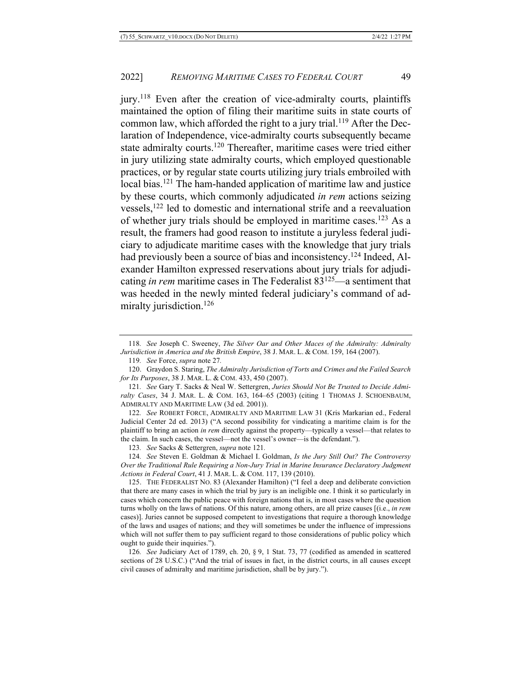jury.118 Even after the creation of vice-admiralty courts, plaintiffs maintained the option of filing their maritime suits in state courts of common law, which afforded the right to a jury trial.<sup>119</sup> After the Declaration of Independence, vice-admiralty courts subsequently became state admiralty courts.<sup>120</sup> Thereafter, maritime cases were tried either in jury utilizing state admiralty courts, which employed questionable practices, or by regular state courts utilizing jury trials embroiled with local bias.<sup>121</sup> The ham-handed application of maritime law and justice by these courts, which commonly adjudicated *in rem* actions seizing vessels,122 led to domestic and international strife and a reevaluation of whether jury trials should be employed in maritime cases.<sup>123</sup> As a result, the framers had good reason to institute a juryless federal judiciary to adjudicate maritime cases with the knowledge that jury trials had previously been a source of bias and inconsistency.<sup>124</sup> Indeed, Alexander Hamilton expressed reservations about jury trials for adjudicating *in rem* maritime cases in The Federalist 83125—a sentiment that was heeded in the newly minted federal judiciary's command of admiralty jurisdiction.<sup>126</sup>

126*. See* Judiciary Act of 1789, ch. 20, § 9, 1 Stat. 73, 77 (codified as amended in scattered sections of 28 U.S.C.) ("And the trial of issues in fact, in the district courts, in all causes except civil causes of admiralty and maritime jurisdiction, shall be by jury.").

<sup>118</sup>*. See* Joseph C. Sweeney, *The Silver Oar and Other Maces of the Admiralty: Admiralty Jurisdiction in America and the British Empire*, 38 J. MAR. L. & COM. 159, 164 (2007).

<sup>119</sup>*. See* Force, *supra* note 27*.*

<sup>120.</sup> Graydon S. Staring, *The Admiralty Jurisdiction of Torts and Crimes and the Failed Search for Its Purposes*, 38 J. MAR. L. & COM. 433, 450 (2007).

<sup>121</sup>*. See* Gary T. Sacks & Neal W. Settergren, *Juries Should Not Be Trusted to Decide Admiralty Cases*, 34 J. MAR. L. & COM. 163, 164–65 (2003) (citing 1 THOMAS J. SCHOENBAUM, ADMIRALTY AND MARITIME LAW (3d ed. 2001)).

<sup>122</sup>*. See* ROBERT FORCE, ADMIRALTY AND MARITIME LAW 31 (Kris Markarian ed., Federal Judicial Center 2d ed. 2013) ("A second possibility for vindicating a maritime claim is for the plaintiff to bring an action *in rem* directly against the property—typically a vessel—that relates to the claim. In such cases, the vessel—not the vessel's owner—is the defendant.").

<sup>123</sup>*. See* Sacks & Settergren, *supra* note 121*.*

<sup>124</sup>*. See* Steven E. Goldman & Michael I. Goldman, *Is the Jury Still Out? The Controversy Over the Traditional Rule Requiring a Non-Jury Trial in Marine Insurance Declaratory Judgment Actions in Federal Court*, 41 J. MAR. L. & COM. 117, 139 (2010).

<sup>125.</sup> THE FEDERALIST NO. 83 (Alexander Hamilton) ("I feel a deep and deliberate conviction that there are many cases in which the trial by jury is an ineligible one. I think it so particularly in cases which concern the public peace with foreign nations that is, in most cases where the question turns wholly on the laws of nations. Of this nature, among others, are all prize causes [(i.e., *in rem* cases)]. Juries cannot be supposed competent to investigations that require a thorough knowledge of the laws and usages of nations; and they will sometimes be under the influence of impressions which will not suffer them to pay sufficient regard to those considerations of public policy which ought to guide their inquiries.").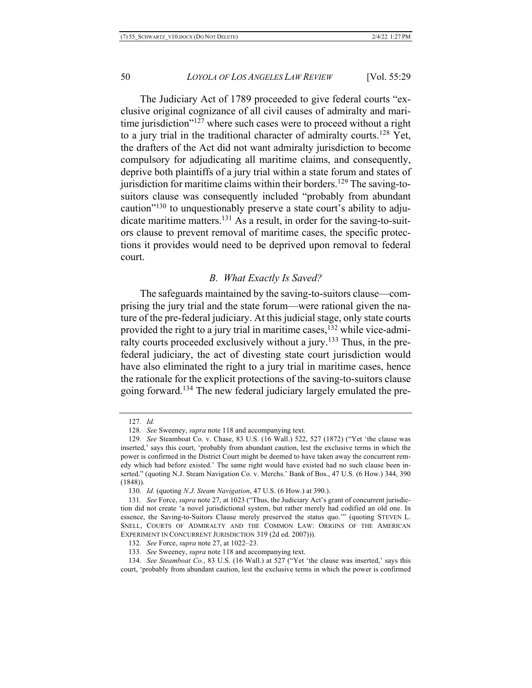The Judiciary Act of 1789 proceeded to give federal courts "exclusive original cognizance of all civil causes of admiralty and maritime jurisdiction"<sup>127</sup> where such cases were to proceed without a right to a jury trial in the traditional character of admiralty courts.128 Yet, the drafters of the Act did not want admiralty jurisdiction to become compulsory for adjudicating all maritime claims, and consequently, deprive both plaintiffs of a jury trial within a state forum and states of jurisdiction for maritime claims within their borders.<sup>129</sup> The saving-tosuitors clause was consequently included "probably from abundant caution"130 to unquestionably preserve a state court's ability to adjudicate maritime matters.131 As a result, in order for the saving-to-suitors clause to prevent removal of maritime cases, the specific protections it provides would need to be deprived upon removal to federal court.

# *B. What Exactly Is Saved?*

The safeguards maintained by the saving-to-suitors clause—comprising the jury trial and the state forum—were rational given the nature of the pre-federal judiciary. At this judicial stage, only state courts provided the right to a jury trial in maritime cases,  $132$  while vice-admiralty courts proceeded exclusively without a jury.<sup>133</sup> Thus, in the prefederal judiciary, the act of divesting state court jurisdiction would have also eliminated the right to a jury trial in maritime cases, hence the rationale for the explicit protections of the saving-to-suitors clause going forward.<sup>134</sup> The new federal judiciary largely emulated the pre-

<sup>127</sup>*. Id.*

<sup>128</sup>*. See* Sweeney, *supra* note 118 and accompanying text.

<sup>129</sup>*. See* Steamboat Co. v. Chase, 83 U.S. (16 Wall.) 522, 527 (1872) ("Yet 'the clause was inserted,' says this court, 'probably from abundant caution, lest the exclusive terms in which the power is confirmed in the District Court might be deemed to have taken away the concurrent remedy which had before existed.' The same right would have existed had no such clause been inserted." (quoting N.J. Steam Navigation Co. v. Merchs.' Bank of Bos., 47 U.S. (6 How.) 344, 390 (1848)).

<sup>130</sup>*. Id.* (quoting *N.J. Steam Navigation*, 47 U.S. (6 How.) at 390.).

<sup>131</sup>*. See* Force, *supra* note 27, at 1023 ("Thus, the Judiciary Act's grant of concurrent jurisdiction did not create 'a novel jurisdictional system, but rather merely had codified an old one. In essence, the Saving-to-Suitors Clause merely preserved the status quo.'" (quoting STEVEN L. SNELL, COURTS OF ADMIRALTY AND THE COMMON LAW: ORIGINS OF THE AMERICAN EXPERIMENT IN CONCURRENT JURISDICTION 319 (2d ed. 2007))).

<sup>132</sup>*. See* Force, *supra* note 27, at 1022–23.

<sup>133</sup>*. See* Sweeney, *supra* note 118 and accompanying text.

<sup>134</sup>*. See Steamboat Co.*, 83 U.S. (16 Wall.) at 527 ("Yet 'the clause was inserted,' says this court, 'probably from abundant caution, lest the exclusive terms in which the power is confirmed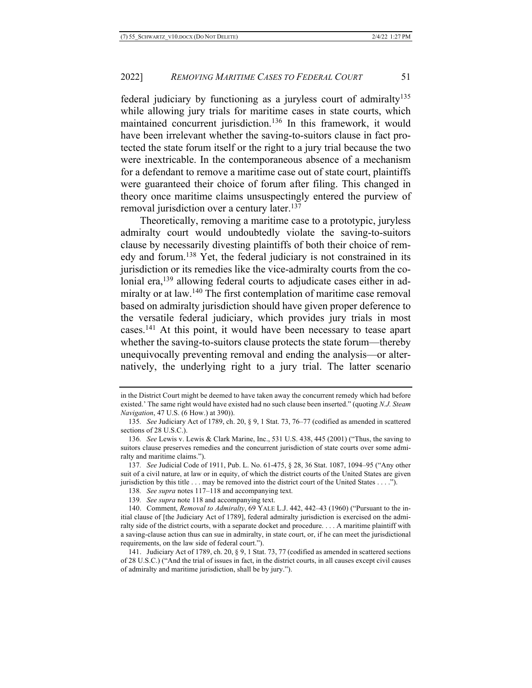federal judiciary by functioning as a juryless court of admiralty<sup>135</sup> while allowing jury trials for maritime cases in state courts, which maintained concurrent jurisdiction.<sup>136</sup> In this framework, it would have been irrelevant whether the saving-to-suitors clause in fact protected the state forum itself or the right to a jury trial because the two were inextricable. In the contemporaneous absence of a mechanism for a defendant to remove a maritime case out of state court, plaintiffs were guaranteed their choice of forum after filing. This changed in theory once maritime claims unsuspectingly entered the purview of removal jurisdiction over a century later.<sup>137</sup>

Theoretically, removing a maritime case to a prototypic, juryless admiralty court would undoubtedly violate the saving-to-suitors clause by necessarily divesting plaintiffs of both their choice of remedy and forum.138 Yet, the federal judiciary is not constrained in its jurisdiction or its remedies like the vice-admiralty courts from the colonial era,<sup>139</sup> allowing federal courts to adjudicate cases either in admiralty or at law.<sup>140</sup> The first contemplation of maritime case removal based on admiralty jurisdiction should have given proper deference to the versatile federal judiciary, which provides jury trials in most cases.141 At this point, it would have been necessary to tease apart whether the saving-to-suitors clause protects the state forum—thereby unequivocally preventing removal and ending the analysis—or alternatively, the underlying right to a jury trial. The latter scenario

- 138*. See supra* notes 117–118 and accompanying text.
- 139*. See supra* note 118 and accompanying text.

in the District Court might be deemed to have taken away the concurrent remedy which had before existed.' The same right would have existed had no such clause been inserted." (quoting *N.J. Steam Navigation*, 47 U.S. (6 How.) at 390)).

<sup>135</sup>*. See* Judiciary Act of 1789, ch. 20, § 9, 1 Stat. 73, 76–77 (codified as amended in scattered sections of 28 U.S.C.).

<sup>136</sup>*. See* Lewis v. Lewis & Clark Marine, Inc., 531 U.S. 438, 445 (2001) ("Thus, the saving to suitors clause preserves remedies and the concurrent jurisdiction of state courts over some admiralty and maritime claims.").

<sup>137</sup>*. See* Judicial Code of 1911, Pub. L. No. 61-475, § 28, 36 Stat. 1087, 1094–95 ("Any other suit of a civil nature, at law or in equity, of which the district courts of the United States are given jurisdiction by this title . . . may be removed into the district court of the United States . . . .").

<sup>140.</sup> Comment, *Removal to Admiralty*, 69 YALE L.J. 442, 442–43 (1960) ("Pursuant to the initial clause of [the Judiciary Act of 1789], federal admiralty jurisdiction is exercised on the admiralty side of the district courts, with a separate docket and procedure. . . . A maritime plaintiff with a saving-clause action thus can sue in admiralty, in state court, or, if he can meet the jurisdictional requirements, on the law side of federal court.").

<sup>141.</sup> Judiciary Act of 1789, ch. 20, § 9, 1 Stat. 73, 77 (codified as amended in scattered sections of 28 U.S.C.) ("And the trial of issues in fact, in the district courts, in all causes except civil causes of admiralty and maritime jurisdiction, shall be by jury.").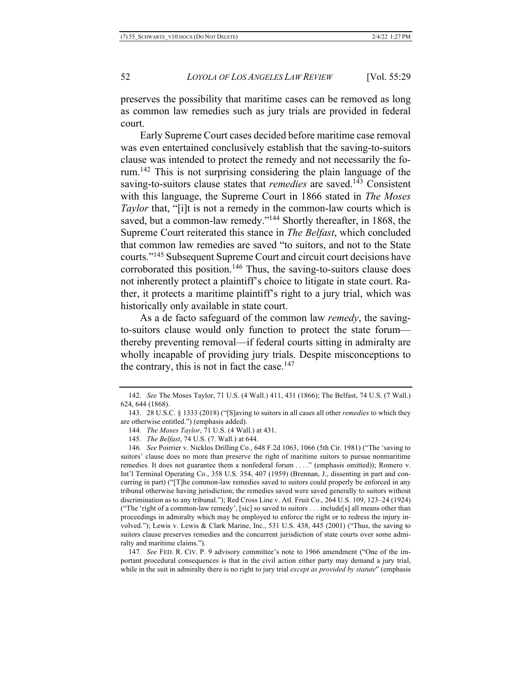preserves the possibility that maritime cases can be removed as long as common law remedies such as jury trials are provided in federal court.

Early Supreme Court cases decided before maritime case removal was even entertained conclusively establish that the saving-to-suitors clause was intended to protect the remedy and not necessarily the forum.142 This is not surprising considering the plain language of the saving-to-suitors clause states that *remedies* are saved.<sup>143</sup> Consistent with this language, the Supreme Court in 1866 stated in *The Moses Taylor* that, "[i]t is not a remedy in the common-law courts which is saved, but a common-law remedy."<sup>144</sup> Shortly thereafter, in 1868, the Supreme Court reiterated this stance in *The Belfast*, which concluded that common law remedies are saved "to suitors, and not to the State courts."145 Subsequent Supreme Court and circuit court decisions have corroborated this position.<sup>146</sup> Thus, the saving-to-suitors clause does not inherently protect a plaintiff's choice to litigate in state court. Rather, it protects a maritime plaintiff's right to a jury trial, which was historically only available in state court.

As a de facto safeguard of the common law *remedy*, the savingto-suitors clause would only function to protect the state forum thereby preventing removal—if federal courts sitting in admiralty are wholly incapable of providing jury trials. Despite misconceptions to the contrary, this is not in fact the case. $147$ 

147*. See* FED. R. CIV. P. 9 advisory committee's note to 1966 amendment ("One of the important procedural consequences is that in the civil action either party may demand a jury trial, while in the suit in admiralty there is no right to jury trial *except as provided by statute*" (emphasis

<sup>142</sup>*. See* The Moses Taylor, 71 U.S. (4 Wall.) 411, 431 (1866); The Belfast, 74 U.S. (7 Wall.) 624, 644 (1868).

<sup>143.</sup> 28 U.S.C. § 1333 (2018) ("[S]aving to suitors in all cases all other *remedies* to which they are otherwise entitled.") (emphasis added).

<sup>144</sup>*. The Moses Taylor*, 71 U.S. (4 Wall.) at 431.

<sup>145</sup>*. The Belfast*, 74 U.S. (7. Wall.) at 644.

<sup>146</sup>*. See* Poirrier v. Nicklos Drilling Co., 648 F.2d 1063, 1066 (5th Cir. 1981) ("The 'saving to suitors' clause does no more than preserve the right of maritime suitors to pursue nonmaritime remedies. It does not guarantee them a nonfederal forum . . . ." (emphasis omitted)); Romero v. Int'l Terminal Operating Co., 358 U.S. 354, 407 (1959) (Brennan, J., dissenting in part and concurring in part) ("[T]he common-law remedies saved to suitors could properly be enforced in any tribunal otherwise having jurisdiction; the remedies saved were saved generally to suitors without discrimination as to any tribunal."); Red Cross Line v. Atl. Fruit Co., 264 U.S. 109, 123–24 (1924) ("The 'right of a common-law remedy', [sic] so saved to suitors . . . include[s] all means other than proceedings in admiralty which may be employed to enforce the right or to redress the injury involved."); Lewis v. Lewis & Clark Marine, Inc., 531 U.S. 438, 445 (2001) ("Thus, the saving to suitors clause preserves remedies and the concurrent jurisdiction of state courts over some admiralty and maritime claims.").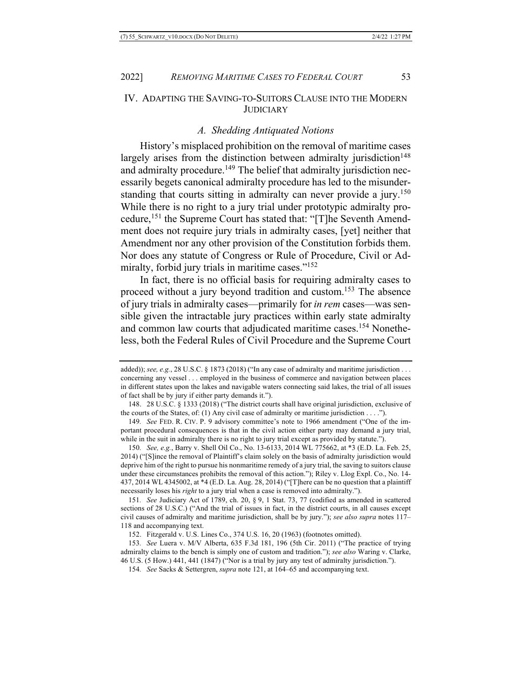# IV. ADAPTING THE SAVING-TO-SUITORS CLAUSE INTO THE MODERN **JUDICIARY**

# *A. Shedding Antiquated Notions*

History's misplaced prohibition on the removal of maritime cases largely arises from the distinction between admiralty jurisdiction<sup>148</sup> and admiralty procedure.<sup>149</sup> The belief that admiralty jurisdiction necessarily begets canonical admiralty procedure has led to the misunderstanding that courts sitting in admiralty can never provide a jury.<sup>150</sup> While there is no right to a jury trial under prototypic admiralty procedure,151 the Supreme Court has stated that: "[T]he Seventh Amendment does not require jury trials in admiralty cases, [yet] neither that Amendment nor any other provision of the Constitution forbids them. Nor does any statute of Congress or Rule of Procedure, Civil or Admiralty, forbid jury trials in maritime cases."<sup>152</sup>

In fact, there is no official basis for requiring admiralty cases to proceed without a jury beyond tradition and custom.153 The absence of jury trials in admiralty cases—primarily for *in rem* cases—was sensible given the intractable jury practices within early state admiralty and common law courts that adjudicated maritime cases.<sup>154</sup> Nonetheless, both the Federal Rules of Civil Procedure and the Supreme Court

150*. See, e.g.*, Barry v. Shell Oil Co., No. 13-6133, 2014 WL 775662, at \*3 (E.D. La. Feb. 25, 2014) ("[S]ince the removal of Plaintiff's claim solely on the basis of admiralty jurisdiction would deprive him of the right to pursue his nonmaritime remedy of a jury trial, the saving to suitors clause under these circumstances prohibits the removal of this action."); Riley v. Llog Expl. Co., No. 14- 437, 2014 WL 4345002, at \*4 (E.D. La. Aug. 28, 2014) ("[T]here can be no question that a plaintiff necessarily loses his *right* to a jury trial when a case is removed into admiralty.").

151*. See* Judiciary Act of 1789, ch. 20, § 9, 1 Stat. 73, 77 (codified as amended in scattered sections of 28 U.S.C.) ("And the trial of issues in fact, in the district courts, in all causes except civil causes of admiralty and maritime jurisdiction, shall be by jury."); *see also supra* notes 117– 118 and accompanying text.

152. Fitzgerald v. U.S. Lines Co., 374 U.S. 16, 20 (1963) (footnotes omitted).

153*. See* Luera v. M/V Alberta, 635 F.3d 181, 196 (5th Cir. 2011) ("The practice of trying admiralty claims to the bench is simply one of custom and tradition."); *see also* Waring v. Clarke, 46 U.S. (5 How.) 441, 441 (1847) ("Nor is a trial by jury any test of admiralty jurisdiction.").

154*. See* Sacks & Settergren, *supra* note 121, at 164–65 and accompanying text.

added)); *see, e.g.*, 28 U.S.C. § 1873 (2018) ("In any case of admiralty and maritime jurisdiction . . . concerning any vessel . . . employed in the business of commerce and navigation between places in different states upon the lakes and navigable waters connecting said lakes, the trial of all issues of fact shall be by jury if either party demands it.").

<sup>148.</sup> 28 U.S.C. § 1333 (2018) ("The district courts shall have original jurisdiction, exclusive of the courts of the States, of: (1) Any civil case of admiralty or maritime jurisdiction . . . .").

<sup>149</sup>*. See* FED. R. CIV. P. 9 advisory committee's note to 1966 amendment ("One of the important procedural consequences is that in the civil action either party may demand a jury trial, while in the suit in admiralty there is no right to jury trial except as provided by statute.").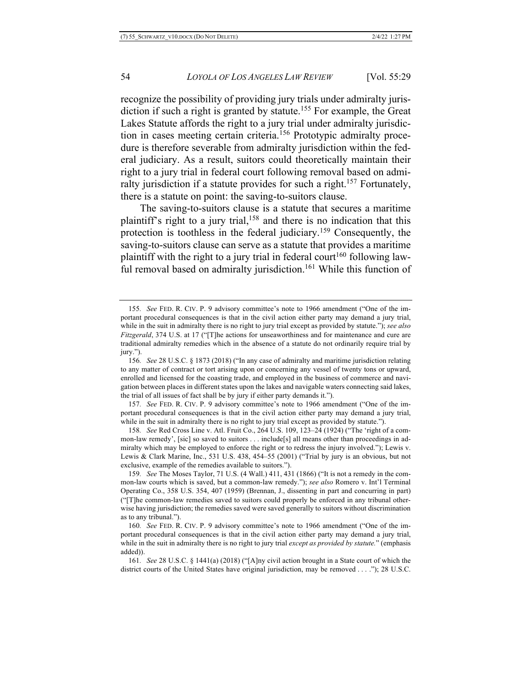recognize the possibility of providing jury trials under admiralty jurisdiction if such a right is granted by statute.<sup>155</sup> For example, the Great Lakes Statute affords the right to a jury trial under admiralty jurisdiction in cases meeting certain criteria.156 Prototypic admiralty procedure is therefore severable from admiralty jurisdiction within the federal judiciary. As a result, suitors could theoretically maintain their right to a jury trial in federal court following removal based on admiralty jurisdiction if a statute provides for such a right.<sup>157</sup> Fortunately, there is a statute on point: the saving-to-suitors clause.

The saving-to-suitors clause is a statute that secures a maritime plaintiff's right to a jury trial,<sup>158</sup> and there is no indication that this protection is toothless in the federal judiciary.159 Consequently, the saving-to-suitors clause can serve as a statute that provides a maritime plaintiff with the right to a jury trial in federal court<sup>160</sup> following lawful removal based on admiralty jurisdiction.<sup>161</sup> While this function of

157*. See* FED. R. CIV. P. 9 advisory committee's note to 1966 amendment ("One of the important procedural consequences is that in the civil action either party may demand a jury trial, while in the suit in admiralty there is no right to jury trial except as provided by statute.").

158*. See* Red Cross Line v. Atl. Fruit Co., 264 U.S. 109, 123–24 (1924) ("The 'right of a common-law remedy', [sic] so saved to suitors . . . include[s] all means other than proceedings in admiralty which may be employed to enforce the right or to redress the injury involved."); Lewis v. Lewis & Clark Marine, Inc., 531 U.S. 438, 454–55 (2001) ("Trial by jury is an obvious, but not exclusive, example of the remedies available to suitors.").

159*. See* The Moses Taylor, 71 U.S. (4 Wall.) 411, 431 (1866) ("It is not a remedy in the common-law courts which is saved, but a common-law remedy."); *see also* Romero v. Int'l Terminal Operating Co., 358 U.S. 354, 407 (1959) (Brennan, J., dissenting in part and concurring in part) ("[T]he common-law remedies saved to suitors could properly be enforced in any tribunal otherwise having jurisdiction; the remedies saved were saved generally to suitors without discrimination as to any tribunal.").

160*. See* FED. R. CIV. P. 9 advisory committee's note to 1966 amendment ("One of the important procedural consequences is that in the civil action either party may demand a jury trial, while in the suit in admiralty there is no right to jury trial *except as provided by statute.*" (emphasis added)).

161*. See* 28 U.S.C. § 1441(a) (2018) ("[A]ny civil action brought in a State court of which the district courts of the United States have original jurisdiction, may be removed . . . ."); 28 U.S.C.

<sup>155</sup>*. See* FED. R. CIV. P. 9 advisory committee's note to 1966 amendment ("One of the important procedural consequences is that in the civil action either party may demand a jury trial, while in the suit in admiralty there is no right to jury trial except as provided by statute."); *see also Fitzgerald*, 374 U.S. at 17 ("[T]he actions for unseaworthiness and for maintenance and cure are traditional admiralty remedies which in the absence of a statute do not ordinarily require trial by jury.").

<sup>156</sup>*. See* 28 U.S.C. § 1873 (2018) ("In any case of admiralty and maritime jurisdiction relating to any matter of contract or tort arising upon or concerning any vessel of twenty tons or upward, enrolled and licensed for the coasting trade, and employed in the business of commerce and navigation between places in different states upon the lakes and navigable waters connecting said lakes, the trial of all issues of fact shall be by jury if either party demands it.").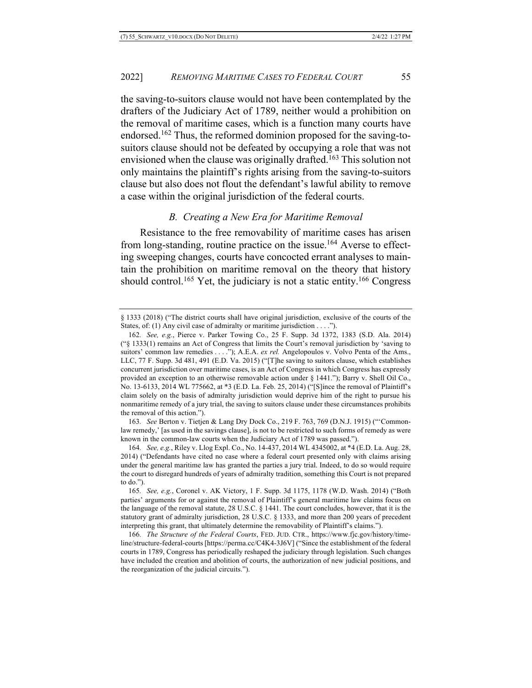the saving-to-suitors clause would not have been contemplated by the drafters of the Judiciary Act of 1789, neither would a prohibition on the removal of maritime cases, which is a function many courts have endorsed.162 Thus, the reformed dominion proposed for the saving-tosuitors clause should not be defeated by occupying a role that was not envisioned when the clause was originally drafted.163 This solution not only maintains the plaintiff's rights arising from the saving-to-suitors clause but also does not flout the defendant's lawful ability to remove a case within the original jurisdiction of the federal courts.

# *B. Creating a New Era for Maritime Removal*

Resistance to the free removability of maritime cases has arisen from long-standing, routine practice on the issue.<sup>164</sup> Averse to effecting sweeping changes, courts have concocted errant analyses to maintain the prohibition on maritime removal on the theory that history should control.<sup>165</sup> Yet, the judiciary is not a static entity.<sup>166</sup> Congress

<sup>§</sup> 1333 (2018) ("The district courts shall have original jurisdiction, exclusive of the courts of the States, of: (1) Any civil case of admiralty or maritime jurisdiction . . . .").

<sup>162</sup>*. See, e.g.*, Pierce v. Parker Towing Co., 25 F. Supp. 3d 1372, 1383 (S.D. Ala. 2014) ("§ 1333(1) remains an Act of Congress that limits the Court's removal jurisdiction by 'saving to suitors' common law remedies . . . ."); A.E.A. *ex rel.* Angelopoulos v. Volvo Penta of the Ams., LLC, 77 F. Supp. 3d 481, 491 (E.D. Va. 2015) ("[T]he saving to suitors clause, which establishes concurrent jurisdiction over maritime cases, is an Act of Congress in which Congress has expressly provided an exception to an otherwise removable action under § 1441."); Barry v. Shell Oil Co., No. 13-6133, 2014 WL 775662, at \*3 (E.D. La. Feb. 25, 2014) ("[S]ince the removal of Plaintiff's claim solely on the basis of admiralty jurisdiction would deprive him of the right to pursue his nonmaritime remedy of a jury trial, the saving to suitors clause under these circumstances prohibits the removal of this action.").

<sup>163</sup>*. See* Berton v. Tietjen & Lang Dry Dock Co., 219 F. 763, 769 (D.N.J. 1915) ("'Commonlaw remedy,' [as used in the savings clause], is not to be restricted to such forms of remedy as were known in the common-law courts when the Judiciary Act of 1789 was passed.").

<sup>164</sup>*. See, e.g.*, Riley v. Llog Expl. Co., No. 14-437, 2014 WL 4345002, at \*4 (E.D. La. Aug. 28, 2014) ("Defendants have cited no case where a federal court presented only with claims arising under the general maritime law has granted the parties a jury trial. Indeed, to do so would require the court to disregard hundreds of years of admiralty tradition, something this Court is not prepared to do.").

<sup>165</sup>*. See, e.g.*, Coronel v. AK Victory, 1 F. Supp. 3d 1175, 1178 (W.D. Wash. 2014) ("Both parties' arguments for or against the removal of Plaintiff's general maritime law claims focus on the language of the removal statute, 28 U.S.C. § 1441. The court concludes, however, that it is the statutory grant of admiralty jurisdiction, 28 U.S.C. § 1333, and more than 200 years of precedent interpreting this grant, that ultimately determine the removability of Plaintiff's claims.").

<sup>166</sup>*. The Structure of the Federal Courts*, FED. JUD. CTR., https://www.fjc.gov/history/timeline/structure-federal-courts [https://perma.cc/C4K4-3J6V] ("Since the establishment of the federal courts in 1789, Congress has periodically reshaped the judiciary through legislation. Such changes have included the creation and abolition of courts, the authorization of new judicial positions, and the reorganization of the judicial circuits.").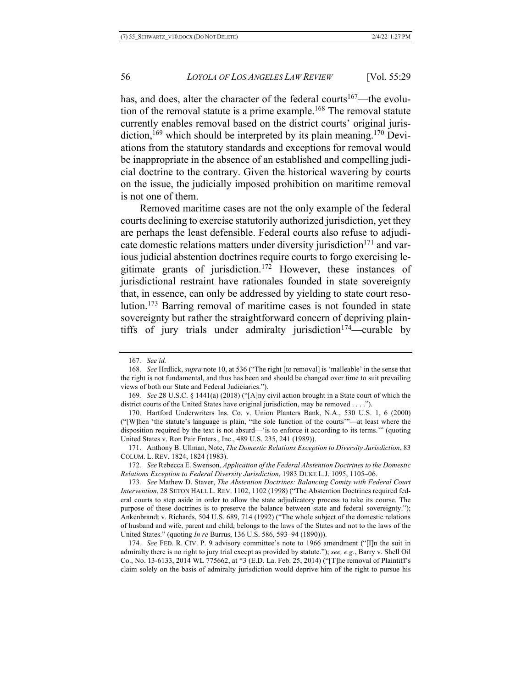has, and does, alter the character of the federal courts<sup>167</sup>—the evolution of the removal statute is a prime example.168 The removal statute currently enables removal based on the district courts' original jurisdiction,<sup>169</sup> which should be interpreted by its plain meaning.<sup>170</sup> Deviations from the statutory standards and exceptions for removal would be inappropriate in the absence of an established and compelling judicial doctrine to the contrary. Given the historical wavering by courts on the issue, the judicially imposed prohibition on maritime removal is not one of them.

Removed maritime cases are not the only example of the federal courts declining to exercise statutorily authorized jurisdiction, yet they are perhaps the least defensible. Federal courts also refuse to adjudicate domestic relations matters under diversity jurisdiction<sup>171</sup> and various judicial abstention doctrines require courts to forgo exercising legitimate grants of jurisdiction.172 However, these instances of jurisdictional restraint have rationales founded in state sovereignty that, in essence, can only be addressed by yielding to state court resolution.173 Barring removal of maritime cases is not founded in state sovereignty but rather the straightforward concern of depriving plaintiffs of jury trials under admiralty jurisdiction<sup>174</sup>—curable by

<sup>167</sup>*. See id.*

<sup>168</sup>*. See* Hrdlick, *supra* note 10, at 536 ("The right [to removal] is 'malleable' in the sense that the right is not fundamental, and thus has been and should be changed over time to suit prevailing views of both our State and Federal Judiciaries.").

<sup>169</sup>*. See* 28 U.S.C. § 1441(a) (2018) ("[A]ny civil action brought in a State court of which the district courts of the United States have original jurisdiction, may be removed . . . .").

<sup>170.</sup> Hartford Underwriters Ins. Co. v. Union Planters Bank, N.A., 530 U.S. 1, 6 (2000) ("[W]hen 'the statute's language is plain, "the sole function of the courts'"—at least where the disposition required by the text is not absurd—'is to enforce it according to its terms.'" (quoting United States v. Ron Pair Enters., Inc., 489 U.S. 235, 241 (1989)).

<sup>171.</sup> Anthony B. Ullman, Note, *The Domestic Relations Exception to Diversity Jurisdiction*, 83 COLUM. L. REV. 1824, 1824 (1983).

<sup>172</sup>*. See* Rebecca E. Swenson, *Application of the Federal Abstention Doctrines to the Domestic Relations Exception to Federal Diversity Jurisdiction*, 1983 DUKE L.J. 1095, 1105–06.

<sup>173</sup>*. See* Mathew D. Staver, *The Abstention Doctrines: Balancing Comity with Federal Court Intervention*, 28 SETON HALL L. REV. 1102, 1102 (1998) ("The Abstention Doctrines required federal courts to step aside in order to allow the state adjudicatory process to take its course. The purpose of these doctrines is to preserve the balance between state and federal sovereignty."); Ankenbrandt v. Richards, 504 U.S. 689, 714 (1992) ("The whole subject of the domestic relations of husband and wife, parent and child, belongs to the laws of the States and not to the laws of the United States." (quoting *In re* Burrus, 136 U.S. 586, 593–94 (1890))).

<sup>174</sup>*. See* FED. R. CIV. P. 9 advisory committee's note to 1966 amendment ("[I]n the suit in admiralty there is no right to jury trial except as provided by statute."); *see, e.g.*, Barry v. Shell Oil Co., No. 13-6133, 2014 WL 775662, at \*3 (E.D. La. Feb. 25, 2014) ("[T]he removal of Plaintiff's claim solely on the basis of admiralty jurisdiction would deprive him of the right to pursue his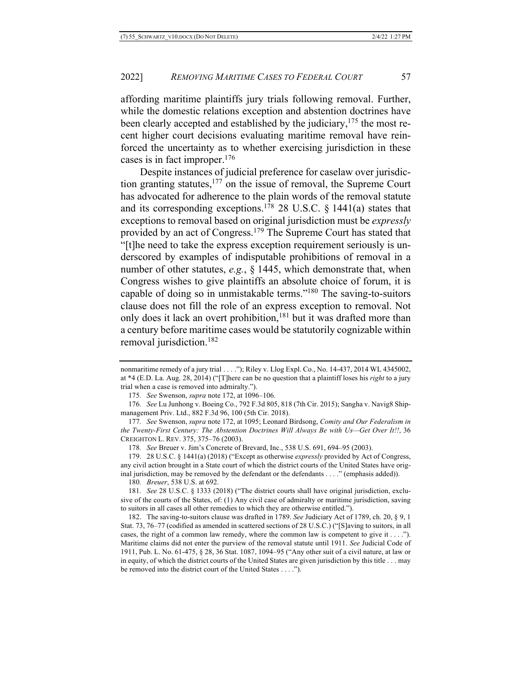affording maritime plaintiffs jury trials following removal. Further, while the domestic relations exception and abstention doctrines have been clearly accepted and established by the judiciary, $175$  the most recent higher court decisions evaluating maritime removal have reinforced the uncertainty as to whether exercising jurisdiction in these cases is in fact improper.176

Despite instances of judicial preference for caselaw over jurisdiction granting statutes, $177$  on the issue of removal, the Supreme Court has advocated for adherence to the plain words of the removal statute and its corresponding exceptions.<sup>178</sup> 28 U.S.C.  $\S$  1441(a) states that exceptions to removal based on original jurisdiction must be *expressly* provided by an act of Congress.179 The Supreme Court has stated that "[t]he need to take the express exception requirement seriously is underscored by examples of indisputable prohibitions of removal in a number of other statutes, *e.g.*, § 1445, which demonstrate that, when Congress wishes to give plaintiffs an absolute choice of forum, it is capable of doing so in unmistakable terms."180 The saving-to-suitors clause does not fill the role of an express exception to removal. Not only does it lack an overt prohibition,  $181$  but it was drafted more than a century before maritime cases would be statutorily cognizable within removal jurisdiction.182

178*. See* Breuer v. Jim's Concrete of Brevard, Inc., 538 U.S. 691, 694–95 (2003).

179. 28 U.S.C. § 1441(a) (2018) ("Except as otherwise *expressly* provided by Act of Congress, any civil action brought in a State court of which the district courts of the United States have original jurisdiction, may be removed by the defendant or the defendants . . . ." (emphasis added)).

180*. Breuer*, 538 U.S. at 692.

181*. See* 28 U.S.C. § 1333 (2018) ("The district courts shall have original jurisdiction, exclusive of the courts of the States, of: (1) Any civil case of admiralty or maritime jurisdiction, saving to suitors in all cases all other remedies to which they are otherwise entitled.").

182. The saving-to-suitors clause was drafted in 1789. *See* Judiciary Act of 1789, ch. 20, § 9, 1 Stat. 73, 76–77 (codified as amended in scattered sections of 28 U.S.C.) ("[S]aving to suitors, in all cases, the right of a common law remedy, where the common law is competent to give it . . . ."). Maritime claims did not enter the purview of the removal statute until 1911. *See* Judicial Code of 1911, Pub. L. No. 61-475, § 28, 36 Stat. 1087, 1094–95 ("Any other suit of a civil nature, at law or in equity, of which the district courts of the United States are given jurisdiction by this title . . . may be removed into the district court of the United States . . . .").

nonmaritime remedy of a jury trial . . . ."); Riley v. Llog Expl. Co., No. 14-437, 2014 WL 4345002, at \*4 (E.D. La. Aug. 28, 2014) ("[T]here can be no question that a plaintiff loses his *right* to a jury trial when a case is removed into admiralty.").

<sup>175</sup>*. See* Swenson, *supra* note 172, at 1096–106.

<sup>176</sup>*. See* Lu Junhong v. Boeing Co., 792 F.3d 805, 818 (7th Cir. 2015); Sangha v. Navig8 Shipmanagement Priv. Ltd., 882 F.3d 96, 100 (5th Cir. 2018).

<sup>177</sup>*. See* Swenson, *supra* note 172, at 1095; Leonard Birdsong, *Comity and Our Federalism in the Twenty-First Century: The Abstention Doctrines Will Always Be with Us—Get Over It!!*, 36 CREIGHTON L. REV. 375, 375–76 (2003).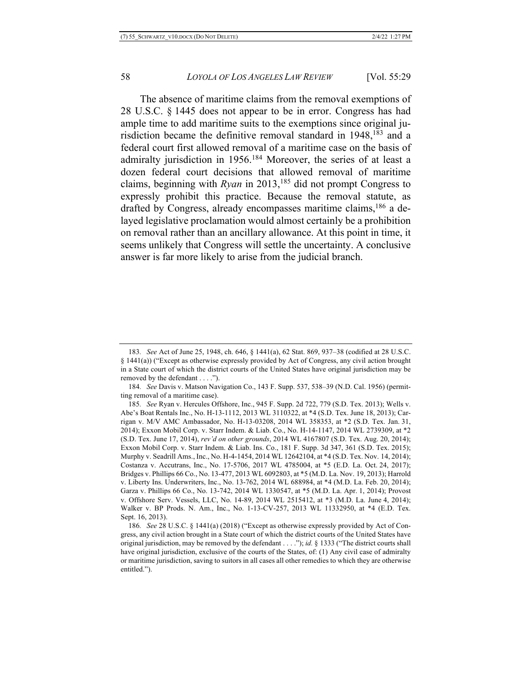The absence of maritime claims from the removal exemptions of 28 U.S.C. § 1445 does not appear to be in error. Congress has had ample time to add maritime suits to the exemptions since original jurisdiction became the definitive removal standard in 1948,<sup>183</sup> and a federal court first allowed removal of a maritime case on the basis of admiralty jurisdiction in 1956.184 Moreover, the series of at least a dozen federal court decisions that allowed removal of maritime claims, beginning with *Ryan* in 2013,185 did not prompt Congress to expressly prohibit this practice. Because the removal statute, as drafted by Congress, already encompasses maritime claims,<sup>186</sup> a delayed legislative proclamation would almost certainly be a prohibition on removal rather than an ancillary allowance. At this point in time, it seems unlikely that Congress will settle the uncertainty. A conclusive answer is far more likely to arise from the judicial branch.

186*. See* 28 U.S.C. § 1441(a) (2018) ("Except as otherwise expressly provided by Act of Congress, any civil action brought in a State court of which the district courts of the United States have original jurisdiction, may be removed by the defendant . . . ."); *id.* § 1333 ("The district courts shall have original jurisdiction, exclusive of the courts of the States, of: (1) Any civil case of admiralty or maritime jurisdiction, saving to suitors in all cases all other remedies to which they are otherwise entitled.").

<sup>183</sup>*. See* Act of June 25, 1948, ch. 646, § 1441(a), 62 Stat. 869, 937–38 (codified at 28 U.S.C. § 1441(a)) ("Except as otherwise expressly provided by Act of Congress, any civil action brought in a State court of which the district courts of the United States have original jurisdiction may be removed by the defendant . . . .").

<sup>184</sup>*. See* Davis v. Matson Navigation Co., 143 F. Supp. 537, 538–39 (N.D. Cal. 1956) (permitting removal of a maritime case).

<sup>185</sup>*. See* Ryan v. Hercules Offshore, Inc., 945 F. Supp. 2d 722, 779 (S.D. Tex. 2013); Wells v. Abe's Boat Rentals Inc., No. H-13-1112, 2013 WL 3110322, at \*4 (S.D. Tex. June 18, 2013); Carrigan v. M/V AMC Ambassador, No. H-13-03208, 2014 WL 358353, at \*2 (S.D. Tex. Jan. 31, 2014); Exxon Mobil Corp. v. Starr Indem. & Liab. Co., No. H-14-1147, 2014 WL 2739309, at \*2 (S.D. Tex. June 17, 2014), *rev'd on other grounds*, 2014 WL 4167807 (S.D. Tex. Aug. 20, 2014); Exxon Mobil Corp. v. Starr Indem. & Liab. Ins. Co., 181 F. Supp. 3d 347, 361 (S.D. Tex. 2015); Murphy v. Seadrill Ams., Inc., No. H-4-1454, 2014 WL 12642104, at \*4 (S.D. Tex. Nov. 14, 2014); Costanza v. Accutrans, Inc., No. 17-5706, 2017 WL 4785004, at \*5 (E.D. La. Oct. 24, 2017); Bridges v. Phillips 66 Co., No. 13-477, 2013 WL 6092803, at \*5 (M.D. La. Nov. 19, 2013); Harrold v. Liberty Ins. Underwriters, Inc., No. 13-762, 2014 WL 688984, at \*4 (M.D. La. Feb. 20, 2014); Garza v. Phillips 66 Co., No. 13-742, 2014 WL 1330547, at \*5 (M.D. La. Apr. 1, 2014); Provost v. Offshore Serv. Vessels, LLC, No. 14-89, 2014 WL 2515412, at \*3 (M.D. La. June 4, 2014); Walker v. BP Prods. N. Am., Inc., No. 1-13-CV-257, 2013 WL 11332950, at \*4 (E.D. Tex. Sept. 16, 2013).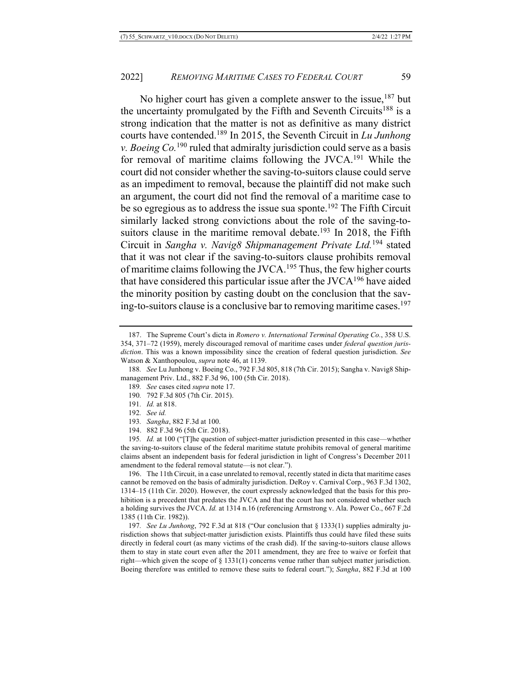No higher court has given a complete answer to the issue,<sup>187</sup> but the uncertainty promulgated by the Fifth and Seventh Circuits<sup>188</sup> is a strong indication that the matter is not as definitive as many district courts have contended.189 In 2015, the Seventh Circuit in *Lu Junhong v. Boeing Co.*<sup>190</sup> ruled that admiralty jurisdiction could serve as a basis for removal of maritime claims following the JVCA.191 While the court did not consider whether the saving-to-suitors clause could serve as an impediment to removal, because the plaintiff did not make such an argument, the court did not find the removal of a maritime case to be so egregious as to address the issue sua sponte.<sup>192</sup> The Fifth Circuit similarly lacked strong convictions about the role of the saving-tosuitors clause in the maritime removal debate.<sup>193</sup> In 2018, the Fifth Circuit in *Sangha v. Navig8 Shipmanagement Private Ltd.*<sup>194</sup> stated that it was not clear if the saving-to-suitors clause prohibits removal of maritime claims following the JVCA.<sup>195</sup> Thus, the few higher courts that have considered this particular issue after the  $IVCA<sup>196</sup>$  have aided the minority position by casting doubt on the conclusion that the saving-to-suitors clause is a conclusive bar to removing maritime cases.197

192*. See id.*

196. The 11th Circuit, in a case unrelated to removal, recently stated in dicta that maritime cases cannot be removed on the basis of admiralty jurisdiction. DeRoy v. Carnival Corp., 963 F.3d 1302, 1314–15 (11th Cir. 2020). However, the court expressly acknowledged that the basis for this prohibition is a precedent that predates the JVCA and that the court has not considered whether such a holding survives the JVCA. *Id.* at 1314 n.16 (referencing Armstrong v. Ala. Power Co., 667 F.2d 1385 (11th Cir. 1982)).

197*. See Lu Junhong*, 792 F.3d at 818 ("Our conclusion that § 1333(1) supplies admiralty jurisdiction shows that subject-matter jurisdiction exists. Plaintiffs thus could have filed these suits directly in federal court (as many victims of the crash did). If the saving-to-suitors clause allows them to stay in state court even after the 2011 amendment, they are free to waive or forfeit that right—which given the scope of  $\S 1331(1)$  concerns venue rather than subject matter jurisdiction. Boeing therefore was entitled to remove these suits to federal court."); *Sangha*, 882 F.3d at 100

<sup>187.</sup> The Supreme Court's dicta in *Romero v. International Terminal Operating Co.*, 358 U.S. 354, 371–72 (1959), merely discouraged removal of maritime cases under *federal question jurisdiction*. This was a known impossibility since the creation of federal question jurisdiction. *See*  Watson & Xanthopoulou, *supra* note 46, at 1139.

<sup>188</sup>*. See* Lu Junhong v. Boeing Co., 792 F.3d 805, 818 (7th Cir. 2015); Sangha v. Navig8 Shipmanagement Priv. Ltd., 882 F.3d 96, 100 (5th Cir. 2018).

<sup>189</sup>*. See* cases cited *supra* note 17.

<sup>190</sup>*.* 792 F.3d 805 (7th Cir. 2015).

<sup>191</sup>*. Id.* at 818.

<sup>193</sup>*. Sangha*, 882 F.3d at 100.

<sup>194.</sup> 882 F.3d 96 (5th Cir. 2018).

<sup>195</sup>*. Id.* at 100 ("[T]he question of subject-matter jurisdiction presented in this case—whether the saving-to-suitors clause of the federal maritime statute prohibits removal of general maritime claims absent an independent basis for federal jurisdiction in light of Congress's December 2011 amendment to the federal removal statute—is not clear.").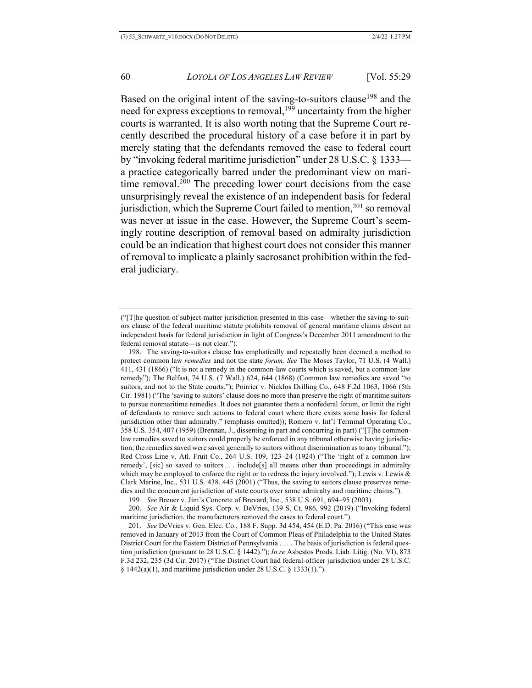Based on the original intent of the saving-to-suitors clause<sup>198</sup> and the need for express exceptions to removal,<sup>199</sup> uncertainty from the higher courts is warranted. It is also worth noting that the Supreme Court recently described the procedural history of a case before it in part by merely stating that the defendants removed the case to federal court by "invoking federal maritime jurisdiction" under 28 U.S.C. § 1333 a practice categorically barred under the predominant view on maritime removal. <sup>200</sup> The preceding lower court decisions from the case unsurprisingly reveal the existence of an independent basis for federal jurisdiction, which the Supreme Court failed to mention,  $201$  so removal was never at issue in the case. However, the Supreme Court's seemingly routine description of removal based on admiralty jurisdiction could be an indication that highest court does not consider this manner of removal to implicate a plainly sacrosanct prohibition within the federal judiciary.

198. The saving-to-suitors clause has emphatically and repeatedly been deemed a method to protect common law *remedies* and not the state *forum*. *See* The Moses Taylor, 71 U.S. (4 Wall.) 411, 431 (1866) ("It is not a remedy in the common-law courts which is saved, but a common-law remedy"); The Belfast, 74 U.S. (7 Wall.) 624, 644 (1868) (Common law remedies are saved "to suitors, and not to the State courts."); Poirrier v. Nicklos Drilling Co., 648 F.2d 1063, 1066 (5th Cir. 1981) ("The 'saving to suitors' clause does no more than preserve the right of maritime suitors to pursue nonmaritime remedies. It does not guarantee them a nonfederal forum, or limit the right of defendants to remove such actions to federal court where there exists some basis for federal jurisdiction other than admiralty." (emphasis omitted)); Romero v. Int'l Terminal Operating Co., 358 U.S. 354, 407 (1959) (Brennan, J., dissenting in part and concurring in part) ("[T]he commonlaw remedies saved to suitors could properly be enforced in any tribunal otherwise having jurisdiction; the remedies saved were saved generally to suitors without discrimination as to any tribunal."); Red Cross Line v. Atl. Fruit Co., 264 U.S. 109, 123–24 (1924) ("The 'right of a common law remedy', [sic] so saved to suitors . . . include[s] all means other than proceedings in admiralty which may be employed to enforce the right or to redress the injury involved."); Lewis v. Lewis  $\&$ Clark Marine, Inc., 531 U.S. 438, 445 (2001) ("Thus, the saving to suitors clause preserves remedies and the concurrent jurisdiction of state courts over some admiralty and maritime claims.").

199*. See* Breuer v. Jim's Concrete of Brevard, Inc., 538 U.S. 691, 694–95 (2003).

200. *See* Air & Liquid Sys. Corp. v. DeVries, 139 S. Ct. 986, 992 (2019) ("Invoking federal maritime jurisdiction, the manufacturers removed the cases to federal court.").

<sup>(&</sup>quot;[T]he question of subject-matter jurisdiction presented in this case—whether the saving-to-suitors clause of the federal maritime statute prohibits removal of general maritime claims absent an independent basis for federal jurisdiction in light of Congress's December 2011 amendment to the federal removal statute—is not clear.").

<sup>201.</sup> *See* DeVries v. Gen. Elec. Co., 188 F. Supp. 3d 454, 454 (E.D. Pa. 2016) ("This case was removed in January of 2013 from the Court of Common Pleas of Philadelphia to the United States District Court for the Eastern District of Pennsylvania . . . . The basis of jurisdiction is federal question jurisdiction (pursuant to 28 U.S.C. § 1442)."); *In re* Asbestos Prods. Liab. Litig. (No. VI), 873 F.3d 232, 235 (3d Cir. 2017) ("The District Court had federal-officer jurisdiction under 28 U.S.C.  $§ 1442(a)(1)$ , and maritime jurisdiction under 28 U.S.C. § 1333(1).").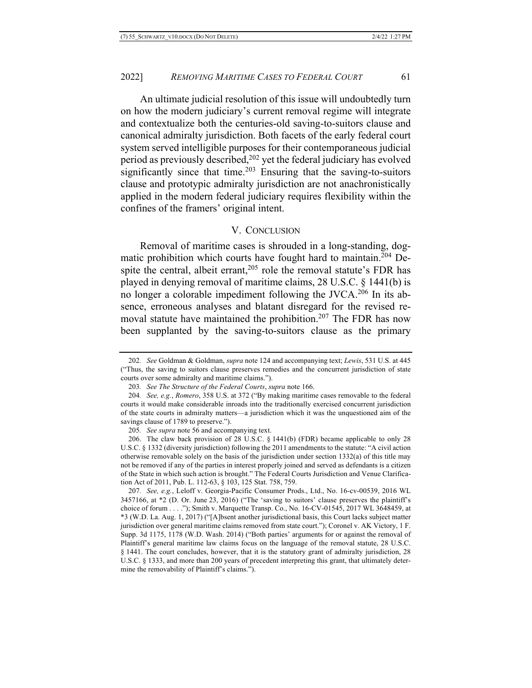An ultimate judicial resolution of this issue will undoubtedly turn on how the modern judiciary's current removal regime will integrate and contextualize both the centuries-old saving-to-suitors clause and canonical admiralty jurisdiction. Both facets of the early federal court system served intelligible purposes for their contemporaneous judicial period as previously described,<sup>202</sup> yet the federal judiciary has evolved significantly since that time.<sup>203</sup> Ensuring that the saving-to-suitors clause and prototypic admiralty jurisdiction are not anachronistically applied in the modern federal judiciary requires flexibility within the confines of the framers' original intent.

# V. CONCLUSION

Removal of maritime cases is shrouded in a long-standing, dogmatic prohibition which courts have fought hard to maintain.<sup>204</sup> Despite the central, albeit errant, $205$  role the removal statute's FDR has played in denying removal of maritime claims, 28 U.S.C. § 1441(b) is no longer a colorable impediment following the JVCA.<sup>206</sup> In its absence, erroneous analyses and blatant disregard for the revised removal statute have maintained the prohibition.<sup>207</sup> The FDR has now been supplanted by the saving-to-suitors clause as the primary

<sup>202</sup>*. See* Goldman & Goldman, *supra* note 124 and accompanying text; *Lewis*, 531 U.S. at 445 ("Thus, the saving to suitors clause preserves remedies and the concurrent jurisdiction of state courts over some admiralty and maritime claims.").

<sup>203</sup>*. See The Structure of the Federal Courts*, *supra* note 166.

<sup>204</sup>*. See, e.g.*, *Romero*, 358 U.S. at 372 ("By making maritime cases removable to the federal courts it would make considerable inroads into the traditionally exercised concurrent jurisdiction of the state courts in admiralty matters—a jurisdiction which it was the unquestioned aim of the savings clause of 1789 to preserve.").

<sup>205</sup>*. See supra* note 56 and accompanying text.

<sup>206.</sup> The claw back provision of 28 U.S.C. § 1441(b) (FDR) became applicable to only 28 U.S.C. § 1332 (diversity jurisdiction) following the 2011 amendments to the statute: "A civil action otherwise removable solely on the basis of the jurisdiction under section 1332(a) of this title may not be removed if any of the parties in interest properly joined and served as defendants is a citizen of the State in which such action is brought." The Federal Courts Jurisdiction and Venue Clarification Act of 2011, Pub. L. 112-63, § 103, 125 Stat. 758, 759.

<sup>207</sup>*. See, e.g.*, Leloff v. Georgia-Pacific Consumer Prods., Ltd., No. 16-cv-00539, 2016 WL 3457166, at \*2 (D. Or. June 23, 2016) ("The 'saving to suitors' clause preserves the plaintiff's choice of forum . . . ."); Smith v. Marquette Transp. Co., No. 16-CV-01545, 2017 WL 3648459, at \*3 (W.D. La. Aug. 1, 2017) ("[A]bsent another jurisdictional basis, this Court lacks subject matter jurisdiction over general maritime claims removed from state court."); Coronel v. AK Victory, 1 F. Supp. 3d 1175, 1178 (W.D. Wash. 2014) ("Both parties' arguments for or against the removal of Plaintiff's general maritime law claims focus on the language of the removal statute, 28 U.S.C. § 1441. The court concludes, however, that it is the statutory grant of admiralty jurisdiction, 28 U.S.C. § 1333, and more than 200 years of precedent interpreting this grant, that ultimately determine the removability of Plaintiff's claims.").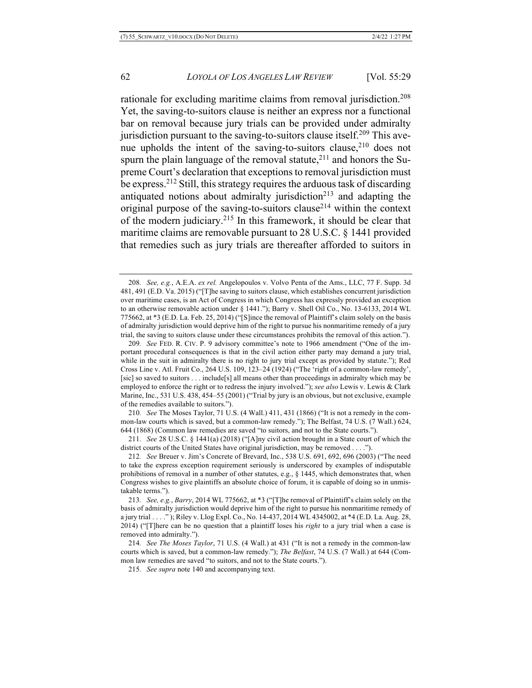rationale for excluding maritime claims from removal jurisdiction. 208 Yet, the saving-to-suitors clause is neither an express nor a functional bar on removal because jury trials can be provided under admiralty jurisdiction pursuant to the saving-to-suitors clause itself.<sup>209</sup> This avenue upholds the intent of the saving-to-suitors clause, $2^{10}$  does not spurn the plain language of the removal statute, $^{211}$  and honors the Supreme Court's declaration that exceptions to removal jurisdiction must be express.212 Still, this strategy requires the arduous task of discarding antiquated notions about admiralty jurisdiction<sup>213</sup> and adapting the original purpose of the saving-to-suitors clause214 within the context of the modern judiciary.215 In this framework, it should be clear that maritime claims are removable pursuant to 28 U.S.C. § 1441 provided that remedies such as jury trials are thereafter afforded to suitors in

215*. See supra* note 140 and accompanying text.

<sup>208</sup>*. See, e.g.*, A.E.A. *ex rel.* Angelopoulos v. Volvo Penta of the Ams., LLC, 77 F. Supp. 3d 481, 491 (E.D. Va. 2015) ("[T]he saving to suitors clause, which establishes concurrent jurisdiction over maritime cases, is an Act of Congress in which Congress has expressly provided an exception to an otherwise removable action under § 1441."); Barry v. Shell Oil Co., No. 13-6133, 2014 WL 775662, at \*3 (E.D. La. Feb. 25, 2014) ("[S]ince the removal of Plaintiff's claim solely on the basis of admiralty jurisdiction would deprive him of the right to pursue his nonmaritime remedy of a jury trial, the saving to suitors clause under these circumstances prohibits the removal of this action.").

<sup>209</sup>*. See* FED. R. CIV. P. 9 advisory committee's note to 1966 amendment ("One of the important procedural consequences is that in the civil action either party may demand a jury trial, while in the suit in admiralty there is no right to jury trial except as provided by statute."); Red Cross Line v. Atl. Fruit Co., 264 U.S. 109, 123–24 (1924) ("The 'right of a common-law remedy', [sic] so saved to suitors . . . include[s] all means other than proceedings in admiralty which may be employed to enforce the right or to redress the injury involved."); *see also* Lewis v. Lewis & Clark Marine, Inc., 531 U.S. 438, 454–55 (2001) ("Trial by jury is an obvious, but not exclusive, example of the remedies available to suitors.").

<sup>210</sup>*. See* The Moses Taylor, 71 U.S. (4 Wall.) 411, 431 (1866) ("It is not a remedy in the common-law courts which is saved, but a common-law remedy."); The Belfast, 74 U.S. (7 Wall.) 624, 644 (1868) (Common law remedies are saved "to suitors, and not to the State courts.").

<sup>211</sup>*. See* 28 U.S.C. § 1441(a) (2018) ("[A]ny civil action brought in a State court of which the district courts of the United States have original jurisdiction, may be removed . . . .").

<sup>212</sup>*. See* Breuer v. Jim's Concrete of Brevard, Inc., 538 U.S. 691, 692, 696 (2003) ("The need to take the express exception requirement seriously is underscored by examples of indisputable prohibitions of removal in a number of other statutes, e.g.,  $\S$  1445, which demonstrates that, when Congress wishes to give plaintiffs an absolute choice of forum, it is capable of doing so in unmistakable terms.").

<sup>213</sup>*. See, e.g.*, *Barry*, 2014 WL 775662, at \*3 ("[T]he removal of Plaintiff's claim solely on the basis of admiralty jurisdiction would deprive him of the right to pursue his nonmaritime remedy of a jury trial . . . ." ); Riley v. Llog Expl. Co., No. 14-437, 2014 WL 4345002, at \*4 (E.D. La. Aug. 28, 2014) ("[T]here can be no question that a plaintiff loses his *right* to a jury trial when a case is removed into admiralty.").

<sup>214</sup>*. See The Moses Taylor*, 71 U.S. (4 Wall.) at 431 ("It is not a remedy in the common-law courts which is saved, but a common-law remedy."); *The Belfast*, 74 U.S. (7 Wall.) at 644 (Common law remedies are saved "to suitors, and not to the State courts.").